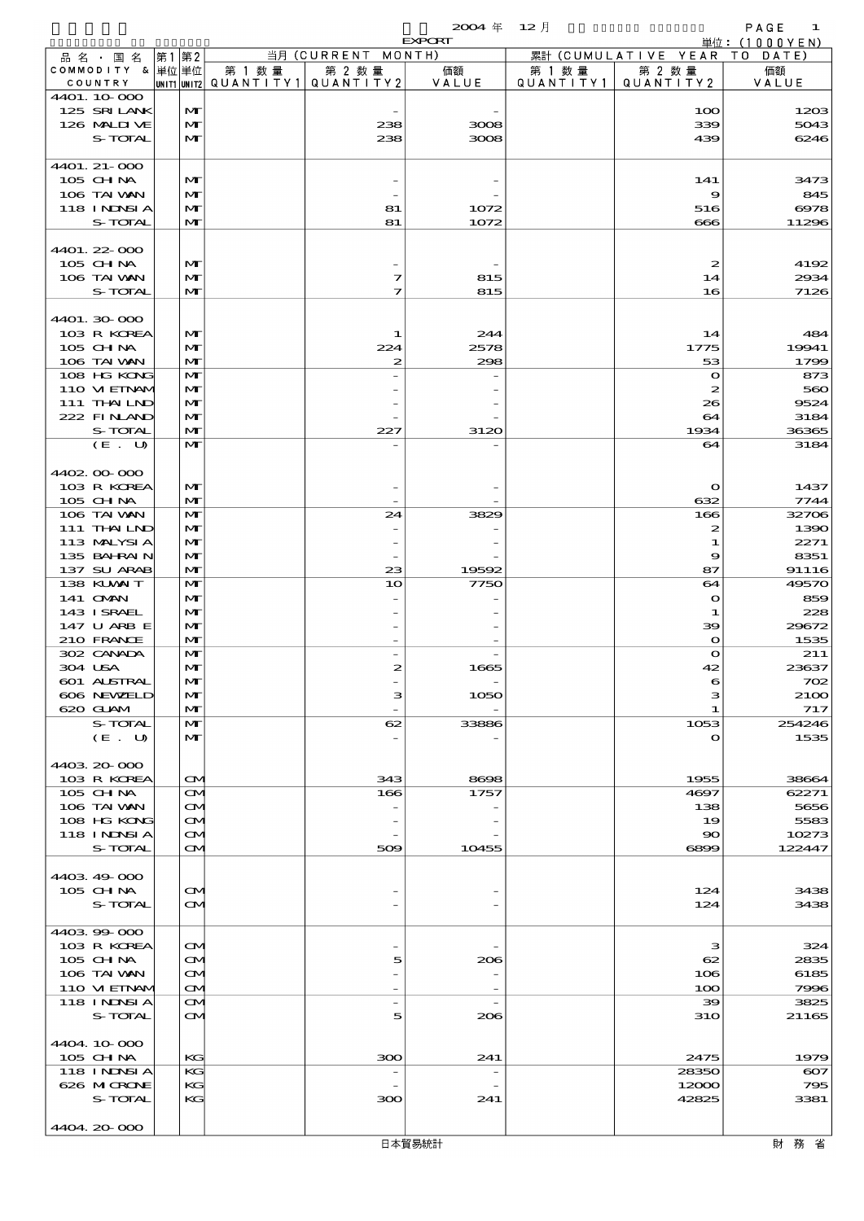$2004 \quad \text{if} \quad 12 \quad \text{if} \quad$  PAGE 1

|                             |                              |        |                                                  | <b>EXPORT</b>            |                     |                              | 単位: (1000YEN) |
|-----------------------------|------------------------------|--------|--------------------------------------------------|--------------------------|---------------------|------------------------------|---------------|
| 品名・国名                       | 第1第2                         |        | 当月 (CURRENT                                      | MONTH)                   |                     | 累計 (CUMULATIVE YEAR TO DATE) |               |
| COMMODITY & 単位単位<br>COUNTRY |                              | 第 1 数量 | 第 2 数量<br> unit1 unit2  QUANT   TY1  QUANT   TY2 | 価額<br>VALUE              | 第 1 数量<br>QUANTITY1 | 第 2 数量<br>QUANTITY 2         | 価額<br>VALUE   |
| 4401.10.000                 |                              |        |                                                  |                          |                     |                              |               |
| 125 SRILANK                 | $\mathbf{M}$                 |        |                                                  |                          |                     | 100                          | 1203          |
| 126 MALIUE                  | $\mathbf{M}$                 |        | 238                                              | 3008                     |                     | 339                          | 5043          |
| S-TOTAL                     | $\mathbf{M}$                 |        | 238                                              | 3008                     |                     | 439                          | 6246          |
|                             |                              |        |                                                  |                          |                     |                              |               |
| 4401. 21-000<br>105 CHNA    | $\mathbf{M}$                 |        |                                                  |                          |                     | 141                          | 3473          |
| 106 TAI VAN                 | M                            |        |                                                  |                          |                     | 9                            | 845           |
| 118 INNSI A                 | $\mathbf{M}$                 |        | 81                                               | 1072                     |                     | 516                          | 6978          |
| S-TOTAL                     | $\mathbf{M}$                 |        | 81                                               | 1072                     |                     | 666                          | 11296         |
|                             |                              |        |                                                  |                          |                     |                              |               |
| 4401.22-000                 |                              |        |                                                  |                          |                     |                              |               |
| 105 CHNA                    | $\mathbf{M}$                 |        |                                                  |                          |                     | $\boldsymbol{z}$             | 4192          |
| 106 TAI VAN<br>S-TOTAL      | $\mathbf{M}$<br>$\mathbf{M}$ |        | 7<br>7                                           | 815<br>815               |                     | 14<br>16                     | 2934<br>7126  |
|                             |                              |        |                                                  |                          |                     |                              |               |
| 4401.30 000                 |                              |        |                                                  |                          |                     |                              |               |
| 103 R KOREA                 | M                            |        | 1                                                | 244                      |                     | 14                           | 484           |
| 105 CHNA                    | $\mathbf{M}$                 |        | 224                                              | 2578                     |                     | 1775                         | 19941         |
| 106 TAI VAN                 | $\mathbf{M}$                 |        | 2                                                | 298                      |                     | 53                           | 1799          |
| 108 HG KONG                 | $\mathbf{M}$                 |        |                                                  |                          |                     | $\mathbf o$                  | 873           |
| 110 VIEINAM                 | $\mathbf{M}$                 |        |                                                  |                          |                     | 2                            | 560           |
| 111 THAILND<br>222 FINAND   | $\mathbf{M}$<br>$\mathbf{M}$ |        |                                                  |                          |                     | 26<br>64                     | 9524<br>3184  |
| S-TOTAL                     | $\mathbf{M}$                 |        | 227                                              | 3120                     |                     | 1934                         | 36365         |
| (E. U)                      | $\mathbf{M}$                 |        |                                                  |                          |                     | 64                           | 3184          |
|                             |                              |        |                                                  |                          |                     |                              |               |
| 4402.00.000                 |                              |        |                                                  |                          |                     |                              |               |
| 103 R KOREA                 | $\mathbf{M}$                 |        |                                                  |                          |                     | $\mathbf o$                  | 1437          |
| 105 CH NA                   | $\mathbf{M}$                 |        |                                                  |                          |                     | 632                          | 7744          |
| 106 TAI VAN<br>111 THAILND  | $\mathbf{M}$<br>$\mathbf{M}$ |        | 24                                               | 3829                     |                     | 166                          | 32706<br>1390 |
| 113 MALYSIA                 | $\mathbf{M}$                 |        |                                                  |                          |                     | 2<br>1                       | 2271          |
| 135 BAHRAIN                 | $\mathbf{M}$                 |        |                                                  |                          |                     | 9                            | 8351          |
| 137 SU ARAB                 | $\mathbf{M}$                 |        | 23                                               | 19592                    |                     | 87                           | 91116         |
| 138 KLVXIT                  | $\mathbf{M}$                 |        | 10                                               | 7750                     |                     | 64                           | 49570         |
| 141 CMAN                    | $\mathbf{M}$                 |        |                                                  |                          |                     | $\bullet$                    | 859           |
| 143 I SRAEL                 | $\mathbf{M}$                 |        |                                                  |                          |                     | 1                            | 228           |
| 147 U ARB E<br>210 FRANCE   | $\mathbf{M}$<br>$\mathbf{M}$ |        |                                                  |                          |                     | 39<br>$\mathbf o$            | 29672<br>1535 |
| 302 CANADA                  | $\mathbf{M}$                 |        |                                                  |                          |                     | $\mathbf o$                  | 211           |
| 304 USA                     | M                            |        | 2                                                | 1665                     |                     | 42                           | 23637         |
| 601 ALSTRAL                 | $\mathbf{M}$                 |        |                                                  |                          |                     |                              | 702           |
| 606 NEWELD                  | $\mathbf{M}$                 |        | з                                                | 1050                     |                     | з                            | <b>2100</b>   |
| 620 GLAM                    | M                            |        |                                                  |                          |                     | -1                           | 717           |
| S-TOTAL                     | $\mathbf{M}$                 |        | 62                                               | 33886                    |                     | 1053                         | 254246        |
| (E. U)                      | M                            |        |                                                  |                          |                     | $\mathbf o$                  | 1535          |
| 4403 20 000                 |                              |        |                                                  |                          |                     |                              |               |
| 103 R KOREA                 | $\mathbf{\Omega}$            |        | 343                                              | 8698                     |                     | 1955                         | 38664         |
| 105 CHNA                    | $\mathbf{\Omega}$            |        | 166                                              | 1757                     |                     | 4697                         | 62271         |
| 106 TAI VAN                 | $\mathbf{\Omega}$            |        |                                                  |                          |                     | 138                          | 5656          |
| 108 HG KONG                 | $\mathbf{\infty}$            |        |                                                  |                          |                     | 19                           | 5583          |
| <b>118 INNSIA</b>           | M                            |        |                                                  |                          |                     | 90                           | 10273         |
| S-TOTAL                     | $\mathbf{\Omega}$            |        | 509                                              | 10455                    |                     | 6899                         | 122447        |
| 4403 49 000                 |                              |        |                                                  |                          |                     |                              |               |
| 105 CH NA                   | $\mathbf{\Omega}$            |        |                                                  |                          |                     | 124                          | 3438          |
| S-TOTAL                     | <b>CM</b>                    |        |                                                  |                          |                     | 124                          | 3438          |
|                             |                              |        |                                                  |                          |                     |                              |               |
| 440399000                   |                              |        |                                                  |                          |                     |                              |               |
| 103 R KOREA                 | $\mathbf{\Omega}$            |        |                                                  |                          |                     | з                            | 324           |
| $105$ CHNA<br>106 TAI VAN   | $\mathbf{\infty}$<br>M       |        | 5                                                | 206                      |                     | $_{\rm{62}}$<br>106          | 2835<br>6185  |
| 110 VI EINAV                | $\mathbf{\Omega}$            |        |                                                  |                          |                     | 100                          | 7996          |
| 118 INNSI A                 | $\mathbf{\Omega}$            |        | $\overline{\phantom{a}}$                         | $\overline{\phantom{a}}$ |                     | 39                           | 3825          |
| S-TOTAL                     | $\mathbf{\Omega}$            |        | 5                                                | 206                      |                     | <b>31O</b>                   | 21165         |
|                             |                              |        |                                                  |                          |                     |                              |               |
| 4404.10.000                 |                              |        |                                                  |                          |                     |                              |               |
| 105 CH NA                   | KG                           |        | 300                                              | 241                      |                     | 2475                         | 1979          |
| 118 I NDSI A                | KG                           |        |                                                  |                          |                     | 28350                        | $\infty$      |
| 626 MICRONE<br>S-TOTAL      | KG<br>KG                     |        | ဆာ                                               | 241                      |                     | 12000<br>42825               | 795<br>3381   |
|                             |                              |        |                                                  |                          |                     |                              |               |
| 4404.20.000                 |                              |        |                                                  |                          |                     |                              |               |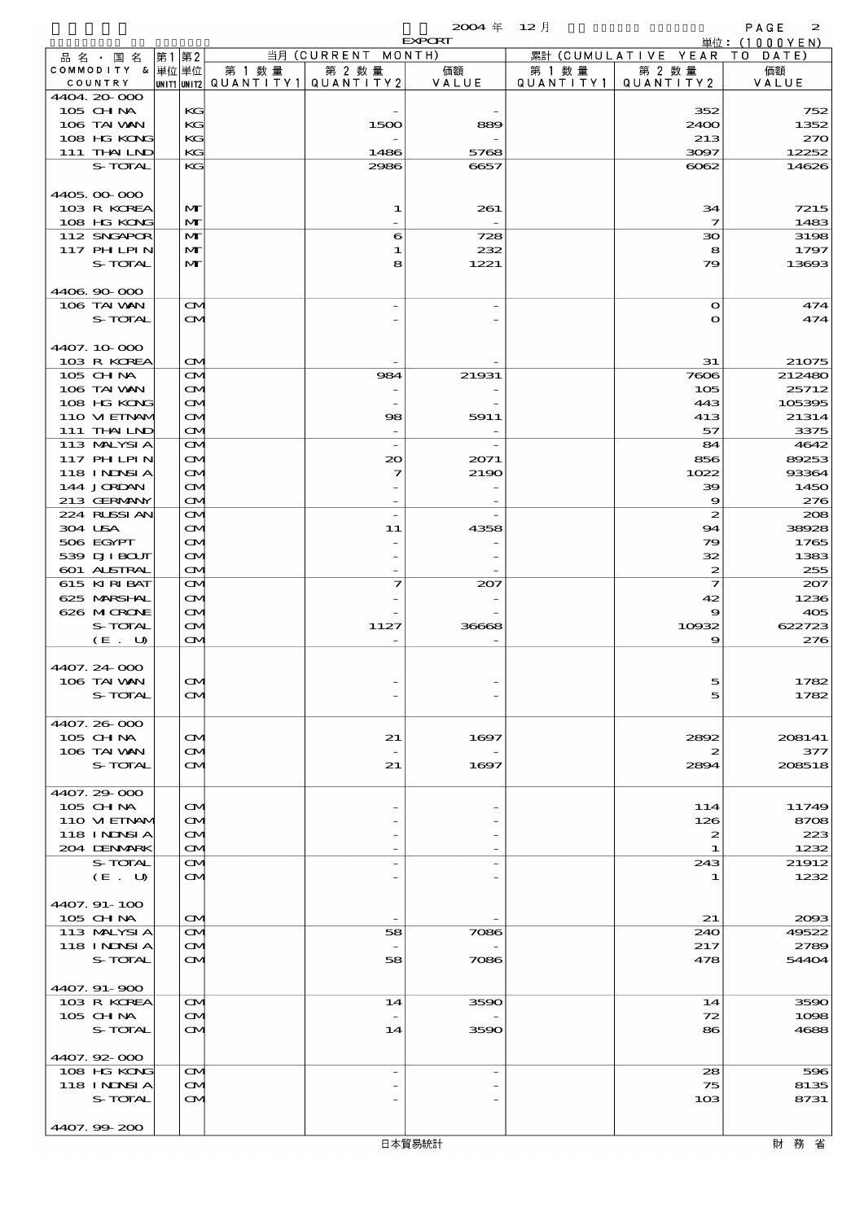$2004 \quad \text{if} \quad 12 \quad \text{if} \quad 2$ 

|                                  |                                        |        |                                       | <b>EXPORT</b> |         |                              | 単位: (1000YEN) |
|----------------------------------|----------------------------------------|--------|---------------------------------------|---------------|---------|------------------------------|---------------|
| 品名・国名                            | 第1第2                                   |        | 当月 (CURRENT MONTH)                    |               |         | 累計 (CUMULATIVE YEAR TO DATE) |               |
| COMMODITY & 単位単位                 |                                        | 第 1 数量 | 第 2 数量                                | 価額            | 第 1 数 量 | 第 2 数量                       | 価額            |
| COUNTRY<br>4404.20-000           |                                        |        | unit1 unit2  QUANT   TY1  QUANT   TY2 | VALUE         |         | QUANTITY1   QUANTITY2        | VALUE         |
| 105 CH NA                        | KG                                     |        |                                       |               |         | 352                          | 752           |
| 106 TAI VAN                      | KG                                     |        | 1500                                  | 889           |         | 2400                         | 1352          |
| 108 HG KONG                      | KG                                     |        |                                       |               |         | 213                          | 270           |
| 111 THAILND                      | KG                                     |        | 1486                                  | 5768          |         | 3097                         | 12252         |
| S-TOTAL                          | KG                                     |        | 2986                                  | 6657          |         | $\infty$                     | 14626         |
|                                  |                                        |        |                                       |               |         |                              |               |
| 4405.00-000                      |                                        |        |                                       |               |         |                              |               |
| 103 R KOREA                      | $\mathbf{M}$                           |        | 1                                     | 261           |         | 34                           | 7215          |
| 108 HG KONG                      | M                                      |        |                                       |               |         | $\overline{\mathbf{z}}$      | 1483          |
| 112 SNGAPOR                      | M                                      |        | 6                                     | 728           |         | 30                           | 3198          |
| <b>117 PHLPIN</b>                | M                                      |        | 1                                     | 232           |         | 8                            | 1797          |
| S-TOTAL                          | $\mathbf{M}$                           |        | 8                                     | 1221          |         | 79                           | 13693         |
| 4406.90-000                      |                                        |        |                                       |               |         |                              |               |
| 106 TAI VAN                      | $\mathbf{\Omega}$                      |        |                                       |               |         | $\mathbf{o}$                 | 474           |
| S-TOTAL                          | $\mathbf{\alpha}$                      |        |                                       |               |         | $\mathbf o$                  | 474           |
|                                  |                                        |        |                                       |               |         |                              |               |
| 4407.10.000                      |                                        |        |                                       |               |         |                              |               |
| 103 R KOREA                      | $\mathbf{\Omega}$                      |        |                                       |               |         | 31                           | 21075         |
| 105 CHNA                         | $\mathbf{\Omega}$                      |        | 984                                   | 21931         |         | 7606                         | 212480        |
| 106 TAI VAN                      | $\mathbf{\Omega}$                      |        |                                       |               |         | 105                          | 25712         |
| 108 HG KONG                      | $\mathbf{\Omega}$                      |        |                                       |               |         | 443                          | 105395        |
| 110 VIEINAM                      | ŒM.                                    |        | 98                                    | 5911          |         | 413                          | 21314         |
| 111 THAILND                      | $\mathbf{\Omega}$                      |        |                                       |               |         | 57                           | 3375          |
| 113 MALYSIA                      | $\mathbf{\Omega}$                      |        | $\overline{\phantom{a}}$              |               |         | 84                           | 4642          |
| <b>117 PHLPIN</b><br>118 INNSI A | $\mathbf{\alpha}$                      |        | $\infty$<br>7                         | 2071          |         | 856                          | 89253         |
| 144 JORDAN                       | $\mathbf{\Omega}$<br>$\mathbf{\Omega}$ |        |                                       | 2190          |         | 1022<br>39                   | 93364<br>1450 |
| 213 GERMANY                      | $\mathbf{\Omega}$                      |        |                                       |               |         | $\boldsymbol{\Theta}$        | 276           |
| 224 RLSSIAN                      | $\mathbf{\Omega}$                      |        | $\overline{a}$                        |               |         | $\boldsymbol{z}$             | 208           |
| 304 USA                          | $\mathbf{\alpha}$                      |        | 11                                    | 4358          |         | 94                           | 38928         |
| 506 EGYPT                        | $\mathbf{\Omega}$                      |        |                                       |               |         | 79                           | 1765          |
| 539 DJI BOUT                     | $\mathbf{\Omega}$                      |        |                                       |               |         | 32                           | 1383          |
| 601 ALSTRAL                      | $\mathbf{\Omega}$                      |        |                                       |               |         | $\boldsymbol{z}$             | 255           |
| 615 KIRIBAT                      | $\mathbf{\alpha}$                      |        | 7                                     | 207           |         | $\overline{\mathbf{z}}$      | 207           |
| 625 MARSHAL                      | $\mathbf{\alpha}$                      |        |                                       |               |         | 42                           | 1236          |
| 626 MICRONE                      | $\mathbf{\Omega}$                      |        |                                       |               |         | 9                            | 405           |
| S-TOTAL                          | $\mathbf{\Omega}$                      |        | 1127                                  | 36668         |         | 10932                        | 622723        |
| (E. U)                           | $\mathbf{\alpha}$                      |        |                                       |               |         | 9                            | 276           |
| 4407.24-000                      |                                        |        |                                       |               |         |                              |               |
| 106 TAI VAN                      | Q                                      |        |                                       |               |         | $\sim$                       | 1782          |
| S-TOTAL                          | ŒМ                                     |        |                                       |               |         | 5                            | 1782          |
|                                  |                                        |        |                                       |               |         |                              |               |
| 4407.26-000                      |                                        |        |                                       |               |         |                              |               |
| $105$ CHNA                       | $\mathbf{\alpha}$                      |        | 21                                    | 1697          |         | 2892                         | 208141        |
| 106 TAI VAN                      | $\mathbf{\alpha}$                      |        |                                       |               |         | 2                            | 377           |
| S-TOTAL                          | $\mathbf{\alpha}$                      |        | 21                                    | 1697          |         | 2894                         | 208518        |
|                                  |                                        |        |                                       |               |         |                              |               |
| 4407.29-000                      |                                        |        |                                       |               |         |                              |               |
| 105 CH NA                        | $\mathbf{\alpha}$                      |        |                                       |               |         | 114                          | 11749         |
| 110 VIEINAM<br>118 I NDSI A      | $\mathbf{\alpha}$<br>ŒИ                |        |                                       |               |         | 126<br>2                     | 8708<br>223   |
| 204 DENMARK                      | <b>CM</b>                              |        |                                       |               |         | 1                            | 1232          |
| S-TOTAL                          | $\mathbf{\alpha}$                      |        |                                       |               |         | 243                          | 21912         |
| (E. U)                           | $\mathbf{\alpha}$                      |        |                                       |               |         | 1                            | 1232          |
|                                  |                                        |        |                                       |               |         |                              |               |
| 4407.91-100                      |                                        |        |                                       |               |         |                              |               |
| 105 CH NA                        | $\mathbf{\alpha}$                      |        |                                       |               |         | 21                           | 2093          |
| 113 MALYSIA                      | <b>CM</b>                              |        | 58                                    | 7086          |         | 240                          | 49522         |
| 118 I NDSI A                     | <b>CM</b>                              |        |                                       |               |         | 217                          | 2789          |
| S-TOTAL                          | <b>CM</b>                              |        | 58                                    | 7086          |         | 478                          | 54404         |
|                                  |                                        |        |                                       |               |         |                              |               |
| 4407.91-900                      |                                        |        |                                       |               |         |                              |               |
| 103 R KOREA<br>$105$ CHNA        | $\mathbf{\alpha}$<br>$\mathbf{\alpha}$ |        | 14                                    | 3590          |         | 14<br>72                     | 3590<br>1098  |
| S-TOTAL                          | <b>CM</b>                              |        | 14                                    | 3590          |         | 86                           | 4688          |
|                                  |                                        |        |                                       |               |         |                              |               |
| 4407.92-000                      |                                        |        |                                       |               |         |                              |               |
| 108 HG KONG                      | $\mathbf{\alpha}$                      |        | $\overline{\phantom{0}}$              |               |         | 28                           | 596           |
| 118 I NDSI A                     | $\mathbf{\alpha}$                      |        |                                       |               |         | 75                           | 8135          |
| S-TOTAL                          | $\mathbf{\alpha}$                      |        |                                       |               |         | 103                          | 8731          |
|                                  |                                        |        |                                       |               |         |                              |               |
| 4407.99-200                      |                                        |        |                                       |               |         |                              |               |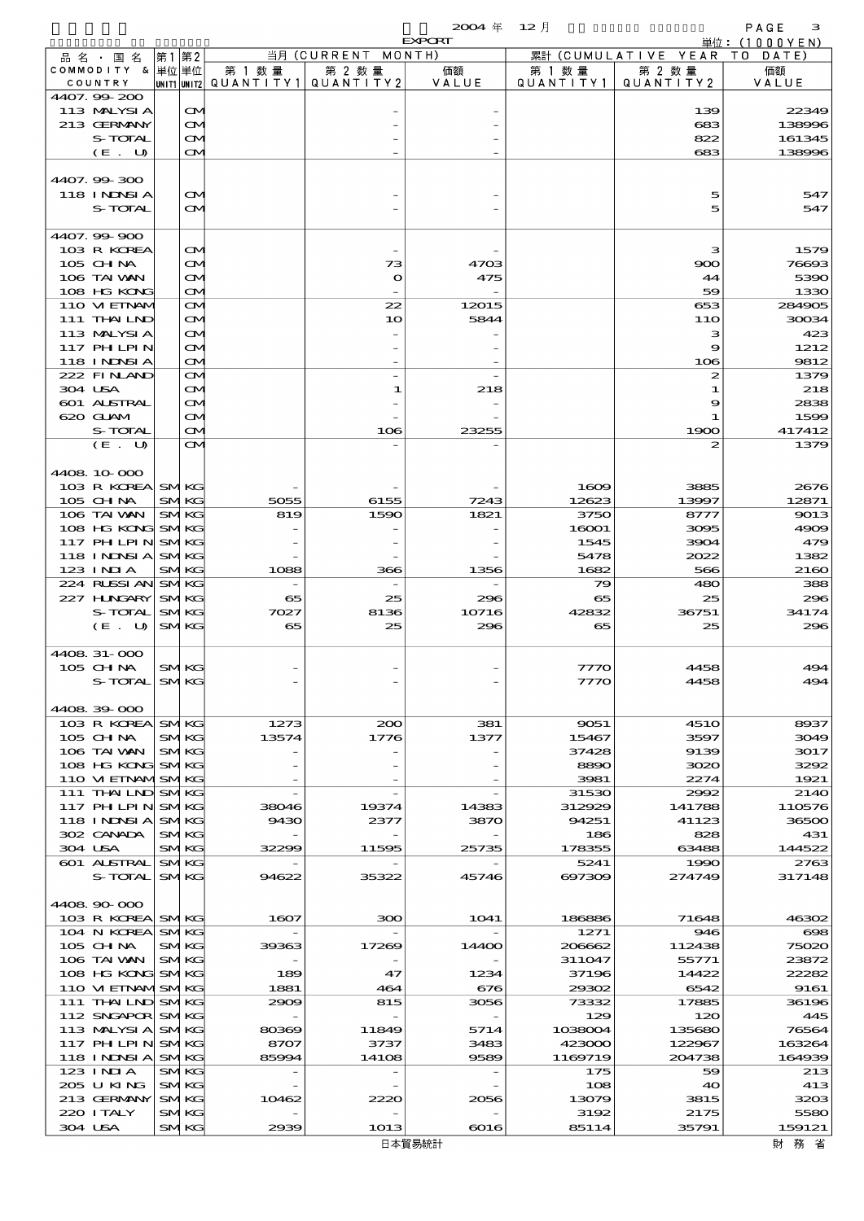$\begin{array}{ccccccccc}\n 2004 & \text{#} & 12 & \text{#} & & \\
\text{and} & & & & & \\
\text{and} & & & & & \\
\text{and} & & & & & \\
\text{and} & & & & & \\
\text{and} & & & & & \\
\text{and} & & & & & \\
\text{and} & & & & & \\
\text{and} & & & & & \\
\text{and} &$ 

|                                        |                            |               |                                                  | <b>EXPORT</b>       |                   |                              | 単位: (1000YEN)   |
|----------------------------------------|----------------------------|---------------|--------------------------------------------------|---------------------|-------------------|------------------------------|-----------------|
| 品名・国名                                  | 第1第2                       |               | 当月 (CURRENT MONTH)                               |                     |                   | 累計 (CUMULATIVE YEAR TO DATE) |                 |
| COMMODITY & 単位 単位                      |                            | 第 1 数量        | 第 2 数量<br> unit1 unit2  QUANT   TY1  QUANT   TY2 | 価額                  | 第 1 数 量           | 第 2 数量                       | 価額              |
| COUNTRY<br>4407.99-200                 |                            |               |                                                  | VALUE               | QUANTITY1         | QUANTITY 2                   | VALUE           |
| 113 MALYSIA                            | $\mathbf{\Omega}$          |               |                                                  |                     |                   | 139                          | 22349           |
| 213 GERMANY                            | M                          |               |                                                  |                     |                   | 683                          | 138996          |
| S-TOTAL                                | M                          |               |                                                  |                     |                   | 822                          | 161345          |
| (E. U)                                 | $\mathbf{\Omega}$          |               |                                                  |                     |                   | 683                          | 138996          |
|                                        |                            |               |                                                  |                     |                   |                              |                 |
| 4407.99-300                            |                            |               |                                                  |                     |                   |                              |                 |
| 118 I NDSI A                           | $\infty$                   |               |                                                  |                     |                   | 5                            | 547             |
| S-TOTAL                                | <b>CM</b>                  |               |                                                  |                     |                   | 5                            | 547             |
| 4407.99-900                            |                            |               |                                                  |                     |                   |                              |                 |
| 103 R KOREA                            | $\mathbf{\Omega}$          |               |                                                  |                     |                   | з                            | 1579            |
| 105 CHNA                               | M                          |               | 73                                               | 4703                |                   | 900                          | 76693           |
| 106 TAI WAN                            | ŒM.                        |               | $\mathbf o$                                      | 475                 |                   | 44                           | 5390            |
| 108 HG KONG                            | M                          |               |                                                  |                     |                   | 59                           | 1330            |
| 110 VIEINAM                            | $\mathbf{\Omega}$          |               | 22                                               | 12015               |                   | 653                          | 284905          |
| 111 THAILND                            | <b>CM</b>                  |               | 10                                               | 5844                |                   | 11O                          | 30034           |
| 113 MALYSIA                            | M                          |               |                                                  |                     |                   | з                            | 423             |
| <b>117 PHLPIN</b><br><b>118 INNSIA</b> | M<br>$\mathbf{\Omega}$     |               |                                                  |                     |                   | 9<br>106                     | 1212<br>9812    |
| 222 FINAND                             | $\mathbf{\Omega}$          |               |                                                  |                     |                   | 2                            | 1379            |
| 304 USA                                | M                          |               | 1                                                | 218                 |                   | 1                            | 218             |
| 601 ALSTRAL                            | $\mathbf{\Omega}$          |               |                                                  |                     |                   | 9                            | 2838            |
| 620 GLAM                               | M                          |               |                                                  |                     |                   | 1                            | 1599            |
| S-TOTAL                                | $\mathbf{\Omega}$          |               | 106                                              | 23255               |                   | 1900                         | 417412          |
| (E. U)                                 | $\mathbf{\Omega}$          |               |                                                  |                     |                   | 2                            | 1379            |
|                                        |                            |               |                                                  |                     |                   |                              |                 |
| 4408 10 000                            |                            |               |                                                  |                     |                   |                              |                 |
| 103 R KOREA SMKG<br>$105$ CHNA         |                            | 5055          | 6155                                             |                     | 1609<br>12623     | 3885<br>13997                | 2676            |
| 106 TAI VAN                            | <b>SMKG</b><br><b>SMKG</b> | 819           | 1590                                             | 7243<br>1821        | 3750              | 8777                         | 12871<br>9013   |
| 108 HG KONG SMKG                       |                            |               |                                                  |                     | 16001             | 3095                         | 4909            |
| 117 PH LPIN SMKG                       |                            |               |                                                  |                     | 1545              | 3904                         | 479             |
| 118 INNSI A                            | <b>SMKG</b>                |               |                                                  |                     | 5478              | 2022                         | 1382            |
| 123 INIA                               | <b>SMKG</b>                | 1088          | 366                                              | 1356                | 1682              | 566                          | 2160            |
| 224 RUSSI AN SMKG                      |                            |               |                                                  |                     | 79                | 480                          | 388             |
| 227 H.NGARY SMKG                       |                            | 65            | 25                                               | 296                 | 65                | 25                           | 296             |
| S-TOTAL                                | <b>SMKG</b>                | 7027          | 8136                                             | 10716               | 42832             | 36751                        | 34174           |
| $(E_U U)$                              | <b>SMKG</b>                | 65            | 25                                               | 296                 | 65                | 25                           | 296             |
| 4408 31-000                            |                            |               |                                                  |                     |                   |                              |                 |
| $105$ CHNA                             | <b>SMKG</b>                |               |                                                  |                     | 7770              | 4458                         | 494             |
| $S-TCTAY$                              | <b>SMKG</b>                |               |                                                  |                     | 7770              | 4458                         | 494             |
|                                        |                            |               |                                                  |                     |                   |                              |                 |
| 4408 39 000                            |                            |               |                                                  |                     |                   |                              |                 |
| 103 R KOREA SMKG                       |                            | 1273          | 200                                              | 381                 | 9051              | <b>4510</b>                  | 8937            |
| $105$ CHNA                             | <b>SMKG</b>                | 13574         | 1776                                             | 1377                | 15467             | 3597                         | 3049            |
| 106 TAI VAN                            | <b>SMKG</b>                |               |                                                  |                     | 37428             | 9139                         | 3017            |
| 108 HG KONG<br>110 VI EINAMISMKG       | <b>SMKG</b>                |               |                                                  |                     | 8890<br>3981      | 3020<br>2274                 | 3292            |
| 111 THAILND SMKG                       |                            |               |                                                  |                     | 31530             | 2992                         | 1921<br>2140    |
| 117 PH LPIN SMKG                       |                            | 38046         | 19374                                            | 14383               | 312929            | 141788                       | 110576          |
| 118 INNSI A                            | <b>SMKG</b>                | 9430          | 2377                                             | 3870                | 94251             | 41123                        | 36500           |
| 302 CANADA                             | <b>SMKG</b>                |               |                                                  |                     | 186               | 828                          | 431             |
| 304 USA                                | <b>SMKG</b>                | 32299         | 11595                                            | 25735               | 178355            | 63488                        | 144522          |
| 601 ALSTRAL                            | <b>SMKG</b>                |               |                                                  |                     | 5241              | 1990                         | 2763            |
| S-TOTAL                                | <b>SMKG</b>                | 94622         | 35322                                            | 45746               | 697309            | 274749                       | 317148          |
| 4408 90 000                            |                            |               |                                                  |                     |                   |                              |                 |
| 103 R KOREA SMKG                       |                            | 1607          | 300                                              | 1041                | 186886            | 71648                        | 46302           |
| 104 N KOREA                            | <b>SMKG</b>                |               |                                                  |                     | 1271              | 946                          | $_{\rm \alpha}$ |
| $105$ CHNA                             | <b>SMKG</b>                | 39363         | 17269                                            | 14400               | 206662            | 112438                       | 75020           |
| 106 TAI VAN                            | <b>SMKG</b>                |               |                                                  |                     | 311047            | 55771                        | 23872           |
| 108 HG KONG                            | <b>SMKG</b>                | 189           | 47                                               | 1234                | 37196             | 14422                        | 22282           |
| 110 VI EINAMISMIKG                     |                            | 1881          | 464                                              | 676                 | 29302             | 6542                         | 9161            |
| 111 THAILND SMKG                       |                            | 2909          | 815                                              | 3056                | 73332             | 17885                        | 36196           |
| 112 SNGAPOR SMKG                       |                            |               |                                                  |                     | 129               | 120                          | 445             |
| 113 MALYSIA<br>117 PH LPIN             | <b>SMKG</b><br><b>SMKG</b> | 80369<br>8707 | 11849<br>3737                                    | 5714<br>3483        | 1038004<br>423000 | 135680<br>122967             | 76564<br>163264 |
| 118 INNSI A                            | <b>SMKG</b>                | 85994         | 14108                                            | 9589                | 1169719           | 204738                       | 164939          |
| $123$ INJA                             | <b>SMKG</b>                |               |                                                  |                     | 175               | 59                           | 213             |
| 205 U KING                             | <b>SMKG</b>                |               |                                                  |                     | 108               | 40                           | 413             |
| 213 GERMANY                            | <b>SMKG</b>                | 10462         | 2220                                             | 2056                | 13079             | 3815                         | 3203            |
| 220 I TALY                             | <b>SMKG</b>                |               |                                                  |                     | 3192              | 2175                         | 5580            |
| 304 USA                                | <b>SMKG</b>                | 2939          | 1013                                             | $\boldsymbol{6016}$ | 85114             | 35791                        | 159121          |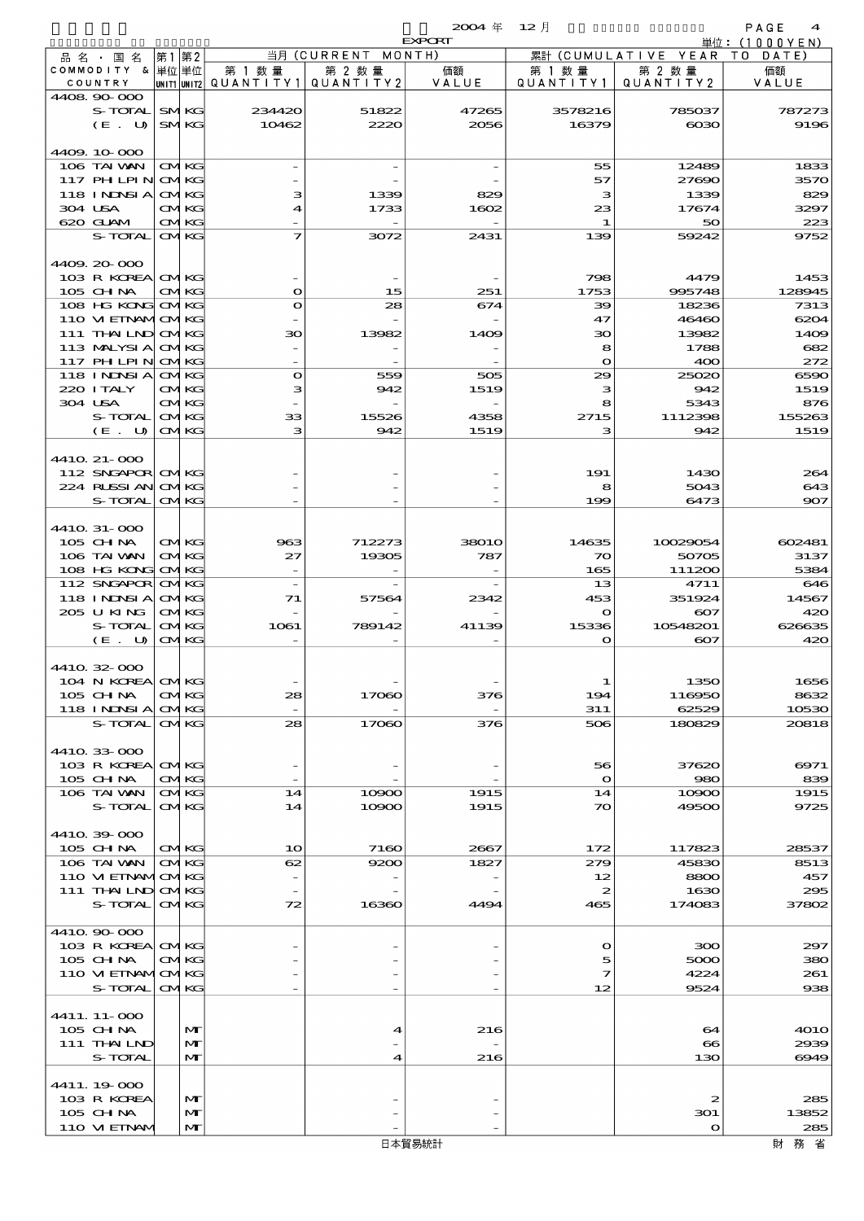|                                                                   |       |                            |                                |                                   | $2004 \text{ } \#$ | $12$ 月                 |                              | PAGE<br>$\boldsymbol{4}$ |
|-------------------------------------------------------------------|-------|----------------------------|--------------------------------|-----------------------------------|--------------------|------------------------|------------------------------|--------------------------|
| <b>EXPORT</b><br>当月 (CURRENT<br>MONTH)<br> 第2<br> 第1<br>品 名 ・ 国 名 |       |                            |                                |                                   |                    | (CUMULATIVE YEAR<br>累計 | 単位: (1000YEN)<br>T O<br>DATE |                          |
| COMMODITY &                                                       | 単位 単位 |                            | 第 1 数 量                        | 第 2 数量                            | 価額                 | 第 1 数 量                | 第 2 数 量                      | 価額                       |
| COUNTRY<br>4408.90.000                                            |       |                            | unit1 unit2  Q∪ANT   TY1       | QUANTITY 2                        | VALUE              | QUANTITY1              | QUANTITY2                    | VALUE                    |
| S-TOTAL                                                           |       | <b>SMKG</b>                | 234420                         | 51822                             | 47265              | 3578216                | 785037                       | 787273                   |
| (E. U)                                                            |       | <b>SMKG</b>                | 10462                          | 2220                              | 2056               | 16379                  | 6030                         | 9196                     |
|                                                                   |       |                            |                                |                                   |                    |                        |                              |                          |
| 4409.10.000<br>106 TAI WAN                                        |       | <b>CMKG</b>                |                                |                                   |                    | 55                     | 12489                        | 1833                     |
| $117$ PH LPIN                                                     |       | <b>CMKG</b>                |                                |                                   |                    | 57                     | 27600                        | 3570                     |
| <b>118 INNSIA</b>                                                 |       | <b>CMKG</b>                | з                              | 1339                              | 829                | з                      | 1339                         | 829                      |
| 304 USA<br>620 GLAM                                               |       | <b>CMKG</b><br><b>CMKG</b> | $\overline{\bf{4}}$            | 1733                              | 1602               | 23<br>1                | 17674<br>50                  | 3297<br>223              |
| S-TOTAL                                                           |       | <b>CMKG</b>                | $\overline{\mathbf{z}}$        | 3072                              | 2431               | 139                    | 59242                        | 9752                     |
|                                                                   |       |                            |                                |                                   |                    |                        |                              |                          |
| 4409.20-000                                                       |       |                            |                                |                                   |                    |                        |                              |                          |
| 103 R KOREA<br>105 CHNA                                           |       | <b>CMKG</b><br><b>CMKG</b> | $\mathbf{o}$                   | 15                                | 251                | 798<br>1753            | 4479<br>995748               | 1453<br>128945           |
| 108 HG KONG                                                       |       | <b>CMKG</b>                | $\mathbf o$                    | 28                                | 674                | 39                     | 18236                        | 7313                     |
| 110 VI EINAMOMKG                                                  |       |                            |                                |                                   |                    | 47                     | 46460                        | 6204                     |
| 111 THAILND<br>113 MALYSIA                                        |       | <b>CMKG</b><br><b>CMKG</b> | 30                             | 13982                             | 1409               | зо<br>8                | 13982<br>1788                | 1409<br>682              |
| 117 PHLPIN                                                        |       | <b>CMKG</b>                |                                |                                   |                    | $\mathbf{o}$           | 400                          | 272                      |
| <b>118 INDSIA</b>                                                 |       | <b>CMKG</b>                | $\mathbf o$                    | 559                               | 505                | 29                     | 25020                        | 6590                     |
| 220 I TALY                                                        |       | <b>CMKG</b>                | з                              | 942                               | 1519               | з                      | 942                          | 1519                     |
| 304 USA<br>S-TOTAL                                                |       | <b>CMKG</b><br><b>CMKG</b> | $\overline{\phantom{0}}$<br>33 | $\overline{\phantom{a}}$<br>15526 | 4358               | 8<br>2715              | 5343<br>1112398              | 876<br>155263            |
| (E. U)                                                            |       | <b>CMKG</b>                | з                              | 942                               | 1519               | з                      | 942                          | 1519                     |
|                                                                   |       |                            |                                |                                   |                    |                        |                              |                          |
| 4410 21-000<br>112 SNGAPOR CMKG                                   |       |                            |                                |                                   |                    | 191                    | 1430                         | 264                      |
| 224 RUSSIAN                                                       |       | <b>CMKG</b>                |                                |                                   |                    | 8                      | 5043                         | 643                      |
| S-TOTAL                                                           |       | <b>CMKG</b>                |                                |                                   |                    | 199                    | 6473                         | 907                      |
|                                                                   |       |                            |                                |                                   |                    |                        |                              |                          |
| 4410 31-000<br>105 CHNA                                           |       | <b>CMKG</b>                | 963                            | 712273                            | <b>38010</b>       | 14635                  | 10029054                     | 602481                   |
| 106 TAI WAN                                                       |       | <b>CMKG</b>                | 27                             | 19305                             | 787                | 70                     | 50705                        | 3137                     |
| 108 HG KONG                                                       |       | <b>CMKG</b>                | $\overline{\phantom{0}}$       |                                   |                    | 165                    | 111200                       | 5384                     |
| 112 SNGAPOR<br>118 INNSI A                                        |       | <b>CMKG</b><br><b>CMKG</b> |                                |                                   |                    | 13<br>453              | 4711<br>351924               | 646                      |
| 205 U KING                                                        |       | <b>CMKG</b>                | 71                             | 57564                             | 2342               | O                      | $\infty$                     | 14567<br>420             |
| S-TOTAL                                                           |       | <b>CMKG</b>                | 1061                           | 789142                            | 41139              | 15336                  | 10548201                     | 626635                   |
| $(E$ .<br>U                                                       |       | <b>CMKG</b>                |                                |                                   |                    | $\mathbf o$            | $\infty$                     | 420                      |
| 4410 32 O.O                                                       |       |                            |                                |                                   |                    |                        |                              |                          |
| 104 N KOREA                                                       |       | <b>CMKG</b>                |                                |                                   |                    | 1                      | 1350                         | 1656                     |
| 105 CH NA                                                         |       | <b>CMKG</b>                | 28                             | 17060                             | 376                | 194                    | 116950                       | 8632                     |
| 118 I NDSI A<br>S-TOTAL                                           |       | <b>CMKG</b><br><b>CMKG</b> | 28                             | 17060                             | 376                | 311<br>506             | 62529<br>180829              | 10530<br>20818           |
|                                                                   |       |                            |                                |                                   |                    |                        |                              |                          |
| 4410.33-000                                                       |       |                            |                                |                                   |                    |                        |                              |                          |
| 103 R KOREA                                                       |       | <b>CMKG</b>                |                                |                                   |                    | 56                     | 37620                        | 6971<br>839              |
| 105 CHNA<br>106 TAI VAN                                           |       | <b>CMKG</b><br><b>CMKG</b> | 14                             | 10900                             | 1915               | $\mathbf{o}$<br>14     | 980<br>10900                 | 1915                     |
| S-TOTAL                                                           |       | <b>CMKG</b>                | 14                             | 10900                             | 1915               | 70                     | 49500                        | 9725                     |
|                                                                   |       |                            |                                |                                   |                    |                        |                              |                          |
| 4410.39-000<br>105 CH NA                                          |       | <b>CMKG</b>                | 10                             | 7160                              | 2667               | 172                    | 117823                       | 28537                    |
| 106 TAI VAN                                                       |       | <b>CMKG</b>                | 62                             | 9200                              | 1827               | 279                    | 45830                        | 8513                     |
| 110 VI EINAMICMKG                                                 |       |                            |                                |                                   |                    | 12                     | 8800                         | 457                      |
| 111 THAILND CMKG<br>S-TOTAL                                       |       | <b>CMKG</b>                | 72                             | 16360                             | 4494               | 2<br>465               | 1630<br>174083               | 295<br>37802             |
|                                                                   |       |                            |                                |                                   |                    |                        |                              |                          |
| 4410.90-000                                                       |       |                            |                                |                                   |                    |                        |                              |                          |
| 103 R KOREA CMKG                                                  |       |                            |                                |                                   |                    | $\mathbf o$            | 300                          | 297                      |
| 105 CH NA<br>110 VI EINAMICMKG                                    |       | <b>CMKG</b>                |                                |                                   |                    | 5<br>7                 | 5000<br>4224                 | 380<br>261               |
| S-TOTAL                                                           |       | <b>CMKG</b>                |                                |                                   |                    | 12                     | 9524                         | 938                      |
|                                                                   |       |                            |                                |                                   |                    |                        |                              |                          |
| 4411.11-000<br>$105$ CHNA                                         |       | M                          |                                | 4                                 | 216                |                        | 64                           | 401 O                    |
| 111 THAILND                                                       |       | M                          |                                |                                   |                    |                        | $\bullet$                    | 2939                     |
| S-TOTAL                                                           |       | $\mathbf{M}$               |                                | 4                                 | 216                |                        | 130                          | 6949                     |
| 4411.19-000                                                       |       |                            |                                |                                   |                    |                        |                              |                          |
| 103 R KOREA                                                       |       | $\mathbf{M}$               |                                |                                   |                    |                        | 2                            | 285                      |
| 105 CH NA                                                         |       | $\mathbf{M}$               |                                |                                   |                    |                        | 301                          | 13852                    |
| 110 VI EINAV                                                      |       | M                          |                                |                                   |                    |                        | $\bullet$                    | 285                      |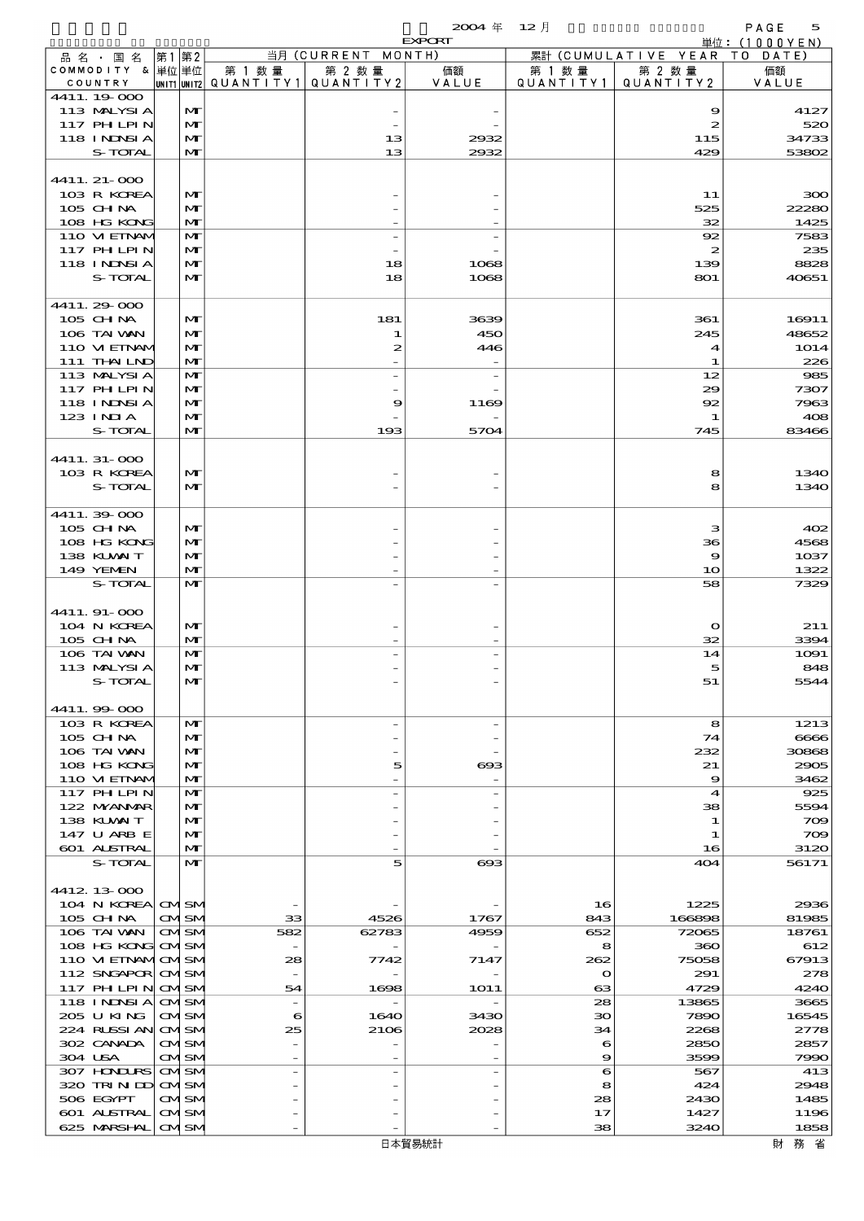$2004 \nleftrightarrow 12 \nparallel$  PAGE 5

|                                  |                              |        |                                                  | <b>EXPORT</b>         |                     |                              | 単位: (1000YEN)        |
|----------------------------------|------------------------------|--------|--------------------------------------------------|-----------------------|---------------------|------------------------------|----------------------|
| 品名・国名                            | 第1 第2                        |        | 当月 (CURRENT MONTH)                               |                       |                     | 累計 (CUMULATIVE YEAR TO DATE) |                      |
| COMMODITY & 単位単位<br>COUNTRY      |                              | 第 1 数量 | 第 2 数量<br> UNIT1 UNIT2  QUANT   TY1  QUANT   TY2 | 価額<br>VALUE           | 第 1 数量<br>QUANTITY1 | 第 2 数量<br>QUANTITY 2         | 価額<br>VALUE          |
| 4411.19.000                      |                              |        |                                                  |                       |                     |                              |                      |
| 113 MALYSIA                      | $\mathbf{M}$                 |        |                                                  |                       |                     | 9                            | 4127                 |
| 117 PH LPIN                      | $\mathbf{M}$                 |        |                                                  |                       |                     | 2                            | 520                  |
| 118 I NDSI A                     | $\mathbf{M}$                 |        | 13                                               | 2932                  |                     | 115                          | 34733                |
| S-TOTAL                          | $\mathbf{M}$                 |        | 13                                               | 2932                  |                     | 429                          | 53802                |
| 4411. 21-000                     |                              |        |                                                  |                       |                     |                              |                      |
| 103 R KOREA                      | $\mathbf{M}$                 |        |                                                  |                       |                     | 11                           | 300                  |
| $105$ CHNA                       | $\mathbf{M}$                 |        |                                                  |                       |                     | 525                          | 22280                |
| 108 HG KONG                      | M                            |        |                                                  |                       |                     | 32                           | 1425                 |
| 110 VIEINAM<br><b>117 PHLPIN</b> | $\mathbf{M}$<br>$\mathbf{M}$ |        |                                                  |                       |                     | 92<br>2                      | 7583<br>235          |
| 118 I NDSI A                     | M                            |        | 18                                               | 1068                  |                     | 139                          | 8828                 |
| S-TOTAL                          | $\mathbf{M}$                 |        | 18                                               | 1068                  |                     | 801                          | 40651                |
|                                  |                              |        |                                                  |                       |                     |                              |                      |
| 4411.29-000                      |                              |        |                                                  |                       |                     |                              |                      |
| $105$ CHNA<br>106 TAI VAN        | $\mathbf{M}$<br>M            |        | 181<br>1                                         | 3639<br>450           |                     | 361<br>245                   | 16911<br>48652       |
| 110 VIEINAM                      | $\mathbf{M}$                 |        | $\mathbf{z}$                                     | 446                   |                     | 4                            | 1O14                 |
| 111 THAILND                      | M                            |        |                                                  |                       |                     | -1                           | 226                  |
| 113 MALYSIA                      | $\mathbf{M}$                 |        | $\overline{a}$                                   |                       |                     | 12                           | 985                  |
| 117 PHLPIN                       | M                            |        |                                                  |                       |                     | 29                           | 7307                 |
| <b>118 INNSI A</b>               | $\mathbf{M}$                 |        | 9                                                | 1169                  |                     | 92                           | 7963                 |
| 123 INIA<br>S-TOTAL              | M<br>$\mathbf{M}$            |        | 193                                              | 5704                  |                     | 1<br>745                     | 408<br>83466         |
|                                  |                              |        |                                                  |                       |                     |                              |                      |
| 4411.31-000                      |                              |        |                                                  |                       |                     |                              |                      |
| 103 R KOREA                      | $\mathbf{M}$                 |        |                                                  |                       |                     | 8                            | 1340                 |
| S-TOTAL                          | $\mathbf{M}$                 |        |                                                  |                       |                     | 8                            | 1340                 |
| 4411.39-000                      |                              |        |                                                  |                       |                     |                              |                      |
| $105$ CHNA                       | $\mathbf{M}$                 |        |                                                  |                       |                     | з                            | 402                  |
| 108 HG KONG                      | M                            |        |                                                  |                       |                     | 36                           | 4568                 |
| 138 KUWAIT                       | $\mathbf{M}$                 |        |                                                  |                       |                     | 9                            | 1037                 |
| 149 YEMEN                        | $\mathbf{M}$                 |        |                                                  |                       |                     | 10                           | 1322                 |
| S-TOTAL                          | $\mathbf{M}$                 |        |                                                  |                       |                     | 58                           | 7329                 |
| 4411.91-000                      |                              |        |                                                  |                       |                     |                              |                      |
| 104 N KOREA                      | $\mathbf{M}$                 |        |                                                  |                       |                     | $\mathbf{o}$                 | 211                  |
| 105 CH NA                        | M                            |        |                                                  |                       |                     | 32                           | 3394                 |
| 106 TAI VAN<br>113 MALYSIA       | M                            |        |                                                  |                       |                     | 14                           | 1091                 |
| S-TOTAL                          | M<br>МI                      |        |                                                  |                       |                     | 5<br>51                      | 848<br>5544          |
|                                  |                              |        |                                                  |                       |                     |                              |                      |
| 4411.99-000                      |                              |        |                                                  |                       |                     |                              |                      |
| 103 R KOREA                      | $\mathbf{M}$                 |        | $\overline{a}$                                   |                       |                     | 8                            | 1213                 |
| $105$ CHNA<br>106 TAI VAN        | M<br>M                       |        |                                                  |                       |                     | 74<br>232                    | 6666<br>30868        |
| 108 HG KONG                      | $\mathbf{M}$                 |        | 5                                                | $_{\rm \alpha}$       |                     | 21                           | 2905                 |
| 110 VIEINAM                      | M                            |        |                                                  |                       |                     | 9                            | 3462                 |
| 117 PHLPIN                       | M                            |        |                                                  |                       |                     | 4                            | 925                  |
| 122 MYANMAR                      | $\mathbf{M}$                 |        |                                                  |                       |                     | 38                           | 5594                 |
| 138 KUWAIT<br>147 U ARB E        | M<br>M                       |        |                                                  |                       |                     | 1<br>-1                      | $\infty$<br>$\infty$ |
| 601 ALSTRAL                      | M                            |        |                                                  |                       |                     | 16                           | 3120                 |
| S-TOTAL                          | $\mathbf{M}$                 |        | 5                                                | $\boldsymbol{\alpha}$ |                     | 404                          | 56171                |
|                                  |                              |        |                                                  |                       |                     |                              |                      |
| 4412 13 000                      |                              |        |                                                  |                       |                     |                              |                      |
| 104 N KOREA CMSM<br>105 CH NA    | <b>CMSM</b>                  | 33     | 4526                                             | 1767                  | 16<br>843           | 1225<br>166898               | 2936<br>81985        |
| 106 TAI WAN                      | <b>CMISM</b>                 | 582    | 62783                                            | 4959                  | 652                 | 72065                        | 18761                |
| 108 HG KONG                      | <b>CMSM</b>                  |        |                                                  |                       | 8                   | 360                          | 612                  |
| 110 VI EINAMOMSM                 |                              | 28     | 7742                                             | 7147                  | 262                 | 75058                        | 67913                |
| 112 SNGAPOR                      | <b>CMSM</b>                  |        |                                                  |                       | $\mathbf o$         | 291                          | 278                  |
| 117 PH LPIN<br>118 I NDSI A      | <b>CMSM</b><br><b>CMISM</b>  | 54     | 1698                                             | <b>1O11</b>           | $\mathbf{a}$<br>28  | 4729<br>13865                | 4240<br>3665         |
| 205 U KING                       | <b>CMISM</b>                 | 6      | 1640                                             | 3430                  | $30^{\circ}$        | 7890                         | 16545                |
| 224 RUSSI AN                     | <b>CMSM</b>                  | 25     | 2106                                             | 2028                  | 34                  | 2268                         | 2778                 |
| 302 CANADA                       | <b>CMSM</b>                  |        |                                                  |                       | 6                   | 2850                         | 2857                 |
| 304 USA                          | <b>CMSM</b>                  |        |                                                  |                       | 9                   | 3599                         | 7990                 |
| 307 HONDURS<br>320 TRINDI        | <b>CMISM</b><br><b>CMSM</b>  |        |                                                  |                       | 6<br>8              | 567<br>424                   | 413<br>2948          |
| 506 EGYPT                        | <b>CMISM</b>                 |        |                                                  |                       | 28                  | 2430                         | 1485                 |
| 601 ALSTRAL                      | <b>CMSM</b>                  |        |                                                  |                       | 17                  | 1427                         | 1196                 |
| 625 MARSHAL                      | <b>CMISM</b>                 |        |                                                  |                       | 38                  | 3240                         | 1858                 |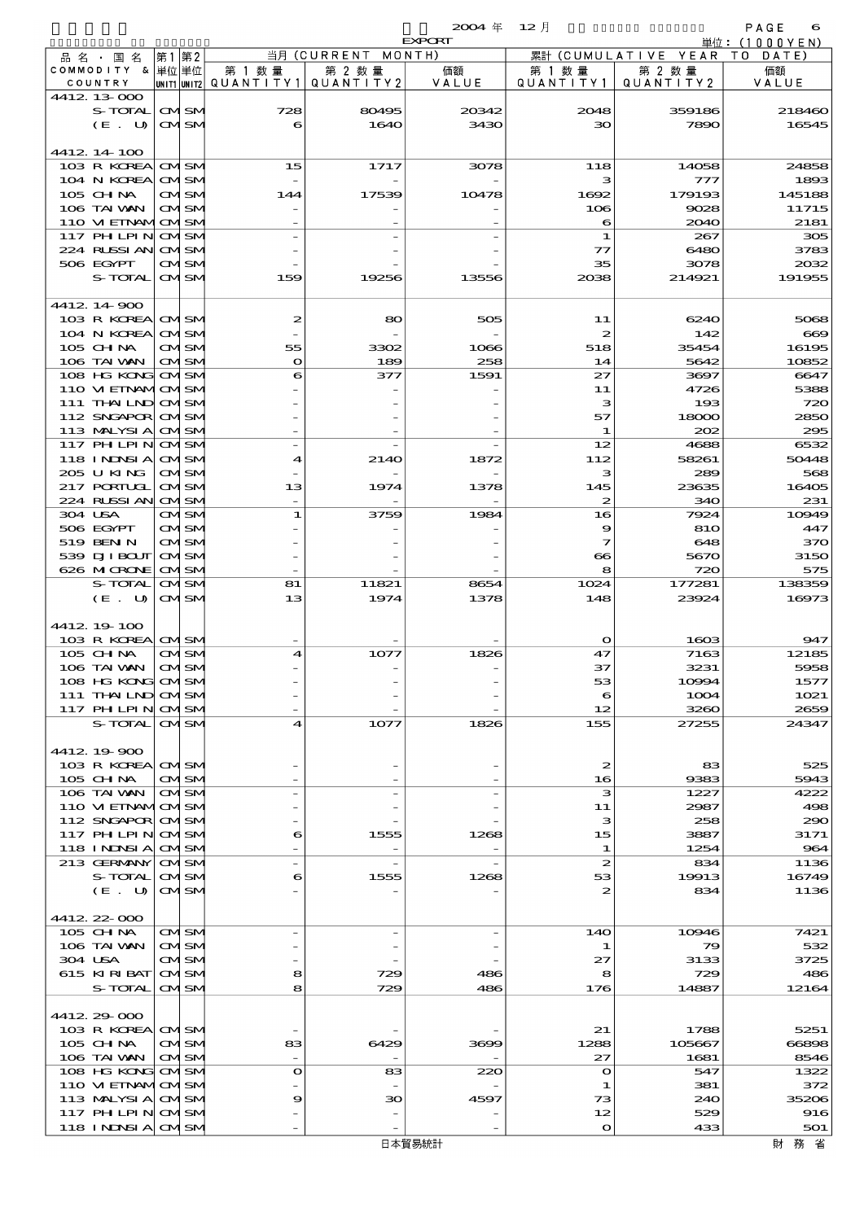$2004 \quad \text{if} \quad 12 \quad \text{if} \quad \text{PAGE} \quad \text{6}$ 

|                                  |  |                              |                                       |            | <b>EXPORT</b> |                       |                     | 単位: (1000YEN) |
|----------------------------------|--|------------------------------|---------------------------------------|------------|---------------|-----------------------|---------------------|---------------|
| 品 名 ・ 国 名                        |  | 第1第2                         |                                       | 当月(CURRENT | MONTH)        |                       | 累計 (CUMULATIVE YEAR | TO DATE)      |
| COMMODITY & 単位単位                 |  |                              | 第 1 数 量                               | 第 2 数量     | 価額            | 第 1 数 量               | 第 2 数量              | 価額            |
| COUNTRY                          |  |                              | unit1 unit2  QUANT   TY1  QUANT   TY2 |            | VALUE         | QUANTITY1             | QUANTITY2           | VALUE         |
| 4412 13 000                      |  |                              |                                       |            |               |                       |                     |               |
| S-TOTAL                          |  | <b>CMISM</b>                 | 728                                   | 80495      | 20342         | 2048                  | 359186              | 218460        |
| $(E_U U)$                        |  | <b>CMSM</b>                  | 6                                     | 1640       | 3430          | 30                    | 7890                | 16545         |
|                                  |  |                              |                                       |            |               |                       |                     |               |
| 4412 14 100<br>103 R KOREA       |  |                              |                                       | 1717       | 3078          | 118                   | 14058               | 24858         |
| 104 N KOREA                      |  | <b>CMISM</b><br><b>CMISM</b> | 15                                    |            |               | з                     | 777                 | 1893          |
| $105$ CHNA                       |  | CMSM                         | 144                                   | 17539      | 10478         | 1692                  | 179193              | 145188        |
| 106 TAI VAN                      |  | <b>CMISM</b>                 |                                       |            |               | 106                   | 9028                | 11715         |
| 110 VI EINAMICMSM                |  |                              |                                       |            |               | 6                     | 2040                | 2181          |
| 117 PH LPIN                      |  | <b>CMSM</b>                  |                                       |            |               | 1                     | 267                 | 305           |
| 224 RUSSI AN                     |  | <b>CMISM</b>                 |                                       |            |               | $\tau$                | 6480                | 3783          |
| 506 EGYPT                        |  | <b>CMSM</b>                  |                                       |            |               | 35                    | 3078                | 2032          |
| S-TOTAL                          |  | <b>CMISM</b>                 | 159                                   | 19256      | 13556         | 2038                  | 214921              | 191955        |
|                                  |  |                              |                                       |            |               |                       |                     |               |
| 4412 14 900                      |  |                              |                                       |            |               |                       |                     |               |
| 103 R KOREA CMSM                 |  |                              | 2                                     | 80         | 505           | 11                    | 6240                | 5068          |
| 104 N KOREA                      |  | <b>CMSM</b>                  |                                       |            |               | $\boldsymbol{z}$      | 142                 | $\bf{669}$    |
| 105 CHNA                         |  | <b>CMISM</b>                 | 55                                    | 3302       | 1066          | 518                   | 35454               | 16195         |
| 106 TAI VAN                      |  | <b>CMSM</b>                  | $\mathbf o$                           | 189        | 258           | 14                    | 5642                | 10852         |
| 108 HG KONG                      |  | <b>CMSM</b>                  | 6                                     | 377        | 1591          | 27                    | 3697                | 6647          |
| 110 VIEINAMOMSM<br>$111$ THAILND |  | <b>CMSM</b>                  |                                       |            |               | 11<br>з               | 4726<br>193         | 5388<br>720   |
| 112 SNGAPOR                      |  | <b>CMISM</b>                 |                                       |            |               | 57                    | 18000               | 2850          |
| 113 MALYSIA                      |  | <b>CMSM</b>                  |                                       |            |               | 1                     | 202                 | 295           |
| 117 PH LPIN                      |  | <b>CMSM</b>                  |                                       |            |               | 12                    | 4688                | 6532          |
| 118 INDSIA                       |  | <b>CMISM</b>                 | 4                                     | 214O       | 1872          | 112                   | 58261               | 50448         |
| 205 U KING                       |  | <b>CMISM</b>                 |                                       |            |               | з                     | 289                 | 568           |
| 217 PORTUGL                      |  | <b>CMISM</b>                 | 13                                    | 1974       | 1378          | 145                   | 23635               | 16405         |
| 224 RUSSI AN                     |  | <b>CMSM</b>                  |                                       |            |               | 2                     | 340                 | 231           |
| 304 USA                          |  | <b>CMSM</b>                  | 1                                     | 3759       | 1984          | 16                    | 7924                | 10949         |
| 506 EGYPT                        |  | <b>CMSM</b>                  |                                       |            |               | 9                     | 810                 | 447           |
| 519 BEN N                        |  | <b>CMISM</b>                 |                                       |            |               | 7                     | 648                 | 370           |
| 539 DJI BOUT                     |  | <b>CMISM</b>                 |                                       |            |               | $\boldsymbol{\infty}$ | 5670                | 3150          |
| 626 MICRONE                      |  | <b>CMSM</b>                  |                                       |            |               | 8                     | 720                 | 575           |
| S-TOTAL                          |  | <b>CMSM</b>                  | 81                                    | 11821      | 8654          | 1024                  | 177281              | 138359        |
| $(E_U U)$                        |  | <b>CMISM</b>                 | 13                                    | 1974       | 1378          | 148                   | 23924               | 16973         |
| 4412 19 100                      |  |                              |                                       |            |               |                       |                     |               |
| 103 R KOREA                      |  | <b>CMISM</b>                 |                                       |            |               | $\mathbf{o}$          | 1603                | 947           |
| 105 CHNA                         |  | CMISM                        | 4                                     | 1077       | 1826          | 47                    | 7163                | 12185         |
| 106 TAI VAN                      |  | <b>CMISM</b>                 |                                       |            |               | 37                    | 3231                | 5958          |
| 108 HG KONG                      |  | avisiv                       |                                       |            |               | 53                    | 10994               | 1577          |
| 111 THAILND CMSM                 |  |                              |                                       |            |               | 6                     | 1004                | 1021          |
| 117 PH LPIN CMSM                 |  |                              |                                       |            |               | 12                    | 3260                | 2659          |
| S-TOTAL                          |  | <b>CMISM</b>                 | 4                                     | 1077       | 1826          | 155                   | 27255               | 24347         |
|                                  |  |                              |                                       |            |               |                       |                     |               |
| 4412 19 900                      |  |                              |                                       |            |               |                       |                     |               |
| 103 R KOREA CMSM                 |  |                              |                                       |            |               | 2                     | 83                  | 525           |
| 105 CH NA                        |  | <b>CMISM</b>                 |                                       |            |               | 16                    | 9383                | 5943          |
| 106 TAI WAN<br>110 VI EINAMICMSM |  | <b>CMISM</b>                 |                                       |            |               | з<br>11               | 1227                | 4222<br>498   |
| 112 SNGAPOR CMSM                 |  |                              |                                       |            |               | з                     | 2987<br>258         | 290           |
| 117 PHLPIN                       |  | <b>CMISM</b>                 | 6                                     | 1555       | 1268          | 15                    | 3887                | 3171          |
| <b>118 INNSIA</b>                |  | <b>CMSM</b>                  |                                       |            |               | 1                     | 1254                | 964           |
| 213 GERMANY                      |  | <b>CMISM</b>                 |                                       |            |               | $\boldsymbol{z}$      | 834                 | 1136          |
| S-TOTAL                          |  | <b>CMISM</b>                 | 6                                     | 1555       | 1268          | 53                    | 19913               | 16749         |
| (E. U)                           |  | <b>CMSM</b>                  |                                       |            |               | 2                     | 834                 | 1136          |
|                                  |  |                              |                                       |            |               |                       |                     |               |
| 4412 22 000                      |  |                              |                                       |            |               |                       |                     |               |
| $105$ CHNA                       |  | <b>CMSM</b>                  |                                       |            |               | 140                   | 10946               | 7421          |
| 106 TAI VAN                      |  | <b>CMSM</b>                  |                                       |            |               | 1                     | 79                  | 532           |
| 304 USA                          |  | CMISM                        |                                       |            |               | 27                    | 3133                | 3725          |
| 615 KIRIBAT<br>S-TOTAL           |  | <b>CMISM</b><br><b>CMISM</b> | 8<br>8                                | 729<br>729 | 486<br>486    | 8<br>176              | 729<br>14887        | 486<br>12164  |
|                                  |  |                              |                                       |            |               |                       |                     |               |
| 4412 29 000                      |  |                              |                                       |            |               |                       |                     |               |
| 103 R KOREA CMSM                 |  |                              |                                       |            |               | 21                    | 1788                | 5251          |
| 105 CH NA                        |  | <b>CMISM</b>                 | 83                                    | 6429       | 3699          | 1288                  | 105667              | 66898         |
| 106 TAI VAN                      |  | <b>CMISM</b>                 |                                       |            |               | 27                    | 1681                | 8546          |
| 108 HG KONG CMSM                 |  |                              | $\bullet$                             | 83         | 220           | $\mathbf o$           | 547                 | 1322          |
| 110 VIEINAMOMSM                  |  |                              |                                       |            |               | 1                     | 381                 | 372           |
|                                  |  |                              |                                       |            |               |                       |                     |               |
| 113 MALYSIA                      |  | <b>CMSM</b>                  | 9                                     | 30         | 4597          | 73                    | 240                 | 35206         |
| 117 PHLPIN<br>118 INDSIA CMSM    |  | <b>CMISM</b>                 |                                       |            |               | 12<br>$\bullet$       | 529<br>433          | 916<br>501    |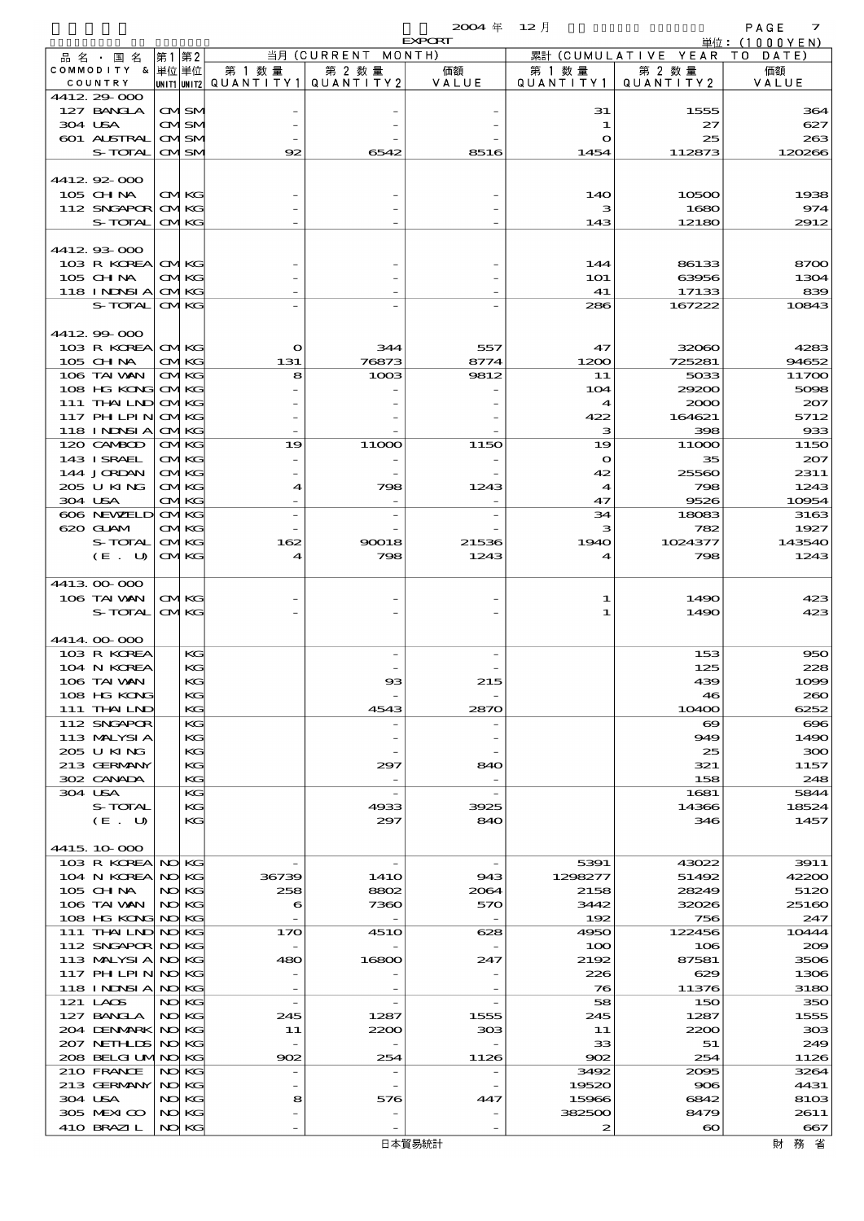$2004 \quad \text{if} \quad 12 \quad \text{if} \quad$  PAGE 7

|                                        |                             |                      |                                                  | <b>EXPORT</b>                   |                                  |                              | 単位: (1000 Y E N) |
|----------------------------------------|-----------------------------|----------------------|--------------------------------------------------|---------------------------------|----------------------------------|------------------------------|------------------|
| 品名・国名                                  | 第1 第2                       |                      | 当月 (CURRENT MONTH)                               |                                 |                                  | 累計 (CUMULATIVE YEAR TO DATE) |                  |
| COMMODITY & 単位単位<br>COUNTRY            |                             | 第 1 数量               | 第 2 数量<br> UNIT1 UNIT2  QUANT   TY1  QUANT   TY2 | 価額<br>VALUE                     | 第 1 数 量<br>QUANTITY1             | 第 2 数量<br>QUANTITY 2         | 価額<br>VALUE      |
| 4412 29 000                            |                             |                      |                                                  |                                 |                                  |                              |                  |
| 127 BANCLA                             | <b>CMISM</b>                |                      |                                                  |                                 | 31                               | 1555                         | 364              |
| 304 USA<br>601 ALSTRAL                 | <b>CMISM</b><br><b>CMSM</b> |                      |                                                  |                                 | 1<br>O                           | 27<br>25                     | 627<br>263       |
| S-TOTAL                                | <b>CMSM</b>                 | 92                   | 6542                                             | 8516                            | 1454                             | 112873                       | 120266           |
|                                        |                             |                      |                                                  |                                 |                                  |                              |                  |
| 441292000                              |                             |                      |                                                  |                                 |                                  |                              |                  |
| 105 CHNA<br>112 SNGAPOR                | <b>CMKG</b><br><b>CMKG</b>  |                      |                                                  |                                 | 140<br>з                         | 10500<br>1680                | 1938<br>974      |
| S-TOTAL                                | <b>CMKG</b>                 |                      |                                                  |                                 | 143                              | 12180                        | 2912             |
|                                        |                             |                      |                                                  |                                 |                                  |                              |                  |
| 4412.93-000                            |                             |                      |                                                  |                                 |                                  |                              |                  |
| 103 R KOREA CMKG<br>105 CHNA           | <b>CMKG</b>                 |                      |                                                  |                                 | 144<br>101                       | 86133<br>63956               | 8700<br>1304     |
| 118 I NJNSI A                          | <b>CMKG</b>                 |                      |                                                  |                                 | 41                               | 17133                        | 839              |
| S-TOTAL                                | <b>CMKG</b>                 |                      |                                                  |                                 | 286                              | 167222                       | 10843            |
|                                        |                             |                      |                                                  |                                 |                                  |                              |                  |
| 4412 99 000<br>103 R KOREA CMKG        |                             | $\mathbf o$          | 344                                              | 557                             | 47                               | 32060                        | 4283             |
| $105$ CHNA                             | <b>CMKG</b>                 | 131                  | 76873                                            | 8774                            | 1200                             | 725281                       | 94652            |
| 106 TAI VAN                            | <b>CMKG</b>                 | 8                    | 1003                                             | 9812                            | 11                               | 5033                         | 11700            |
| 108 HG KONG<br>111 THAILND             | <b>CMKG</b><br><b>CMKG</b>  |                      |                                                  |                                 | 104<br>$\boldsymbol{4}$          | 29200                        | 5098             |
| 117 PH LPIN                            | <b>CMKG</b>                 |                      |                                                  |                                 | 422                              | 2000<br>164621               | 207<br>5712      |
| 118 I NINSI A                          | <b>CMKG</b>                 |                      |                                                  |                                 | з                                | 398                          | 933              |
| 120 CAMBOD                             | <b>CMKG</b>                 | 19                   | 11000                                            | 1150                            | 19                               | 11000                        | 1150             |
| 143 I SRAEL<br>144 JORDAN              | <b>CMKG</b><br><b>CMKG</b>  |                      |                                                  |                                 | $\mathbf o$                      | 35                           | 207              |
| 205 U KING                             | <b>CMKG</b>                 | $\blacktriangleleft$ | 798                                              | 1243                            | 42<br>$\boldsymbol{\mathcal{A}}$ | 25560<br>798                 | 2311<br>1243     |
| 304 USA                                | CMKG                        |                      |                                                  |                                 | 47                               | 9526                         | 10954            |
| 606 NEWELD                             | <b>CMKG</b>                 |                      |                                                  |                                 | 34                               | 18083                        | 3163             |
| 620 GLAM<br>S-TOTAL                    | <b>CMKG</b><br><b>CMKG</b>  | 162                  | 90018                                            | 21536                           | з<br>1940                        | 782<br>1024377               | 1927<br>143540   |
| (E. U)                                 | <b>CMKG</b>                 | 4                    | 798                                              | 1243                            | 4                                | 798                          | 1243             |
|                                        |                             |                      |                                                  |                                 |                                  |                              |                  |
| 441300000                              |                             |                      |                                                  |                                 |                                  |                              |                  |
| 106 TAI WAN<br>S-TOTAL                 | <b>CMKG</b><br><b>CMKG</b>  |                      |                                                  |                                 | 1<br>1                           | 1490<br>1490                 | 423<br>423       |
|                                        |                             |                      |                                                  |                                 |                                  |                              |                  |
| 4414.00-000                            |                             |                      |                                                  |                                 |                                  |                              |                  |
| 103 R KOREA                            | KG                          |                      |                                                  |                                 |                                  | 153                          | 950              |
| 104 N KOREA<br>106 TAI VAN             | KG<br>KG                    |                      | B                                                | 215                             |                                  | 125<br>439                   | 228<br>1099      |
| 108 HG KONG                            | КG                          |                      |                                                  |                                 |                                  | 46                           | 260              |
| 111 THAILND                            | KG                          |                      | 4543                                             | 2870                            |                                  | 10400                        | 6252             |
| 112 SNGAPOR<br>113 MALYSIA             | KG<br>KG                    |                      |                                                  |                                 |                                  | $\boldsymbol{\infty}$<br>949 | $\infty$<br>1490 |
| 205 U KING                             | KG                          |                      |                                                  |                                 |                                  | 25                           | 300              |
| 213 GERMANY                            | КG                          |                      | 297                                              | 840                             |                                  | 321                          | 1157             |
| 302 CANADA                             | KG                          |                      |                                                  |                                 |                                  | 158                          | 248              |
| 304 USA<br>S-TOTAL                     | KG<br>KG                    |                      | 4933                                             | 3925                            |                                  | 1681<br>14366                | 5844<br>18524    |
| (E. U)                                 | KG                          |                      | 297                                              | 840                             |                                  | 346                          | 1457             |
|                                        |                             |                      |                                                  |                                 |                                  |                              |                  |
| 4415, 10,000                           |                             |                      | $\overline{\phantom{a}}$                         |                                 |                                  |                              | 3911             |
| 103 R KOREA NO KG<br>104 N KOREA       | NO KG                       | 36739                | 141O                                             | $\overline{\phantom{a}}$<br>943 | 5391<br>1298277                  | 43022<br>51492               | 42200            |
| 105 CH NA                              | NO KG                       | 258                  | 8802                                             | 2064                            | 2158                             | 28249                        | 5120             |
| 106 TAI WAN                            | NO KG                       | 6                    | 7360                                             | 570                             | 3442                             | 32026                        | 25160            |
| 108 HG KONG NO KG<br>111 THAILND NO KG |                             | 170                  | <b>4510</b>                                      | 628                             | 192<br>4950                      | 756<br>122456                | 247<br>10444     |
| 112 SNGAPOR NO KG                      |                             |                      |                                                  |                                 | 100                              | 106                          | 200              |
| 113 MALYSIA                            | NO KG                       | 480                  | 16800                                            | 247                             | 2192                             | 87581                        | 3506             |
| 117 PH LPIN                            | NO KG                       |                      |                                                  |                                 | 226                              | 629                          | 1306             |
| 118 I NJNSI A<br>121 LAOS              | NO KG<br>NO KG              |                      |                                                  |                                 | 76<br>58                         | 11376<br>150                 | 3180<br>350      |
| 127 BANCLA                             | NO KG                       | 245                  | 1287                                             | 1555                            | 245                              | 1287                         | 1555             |
| 204 DENMARK                            | NO KG                       | 11                   | 2200                                             | 303                             | 11                               | 2200                         | 308              |
| 207 NETH LIS                           | NO KG                       |                      |                                                  |                                 | 33                               | 51                           | 249              |
| 208 BELGI UMINO KG<br>210 FRANCE       | NO KG                       | 902                  | 254                                              | 1126                            | 902<br>3492                      | 254<br>2095                  | 1126<br>3264     |
| 213 GERMANY                            | NO KG                       |                      |                                                  |                                 | 19520                            | 906                          | 4431             |
| 304 USA                                | NO KG                       | 8                    | 576                                              | 447                             | 15966                            | 6842                         | 8103             |
| 305 MEXICO                             | NO KG                       |                      |                                                  |                                 | 382500                           | 8479                         | 2611             |
| 410 BRAZIL                             | NO KG                       |                      |                                                  |                                 | 2                                | $\boldsymbol{\infty}$        | 667              |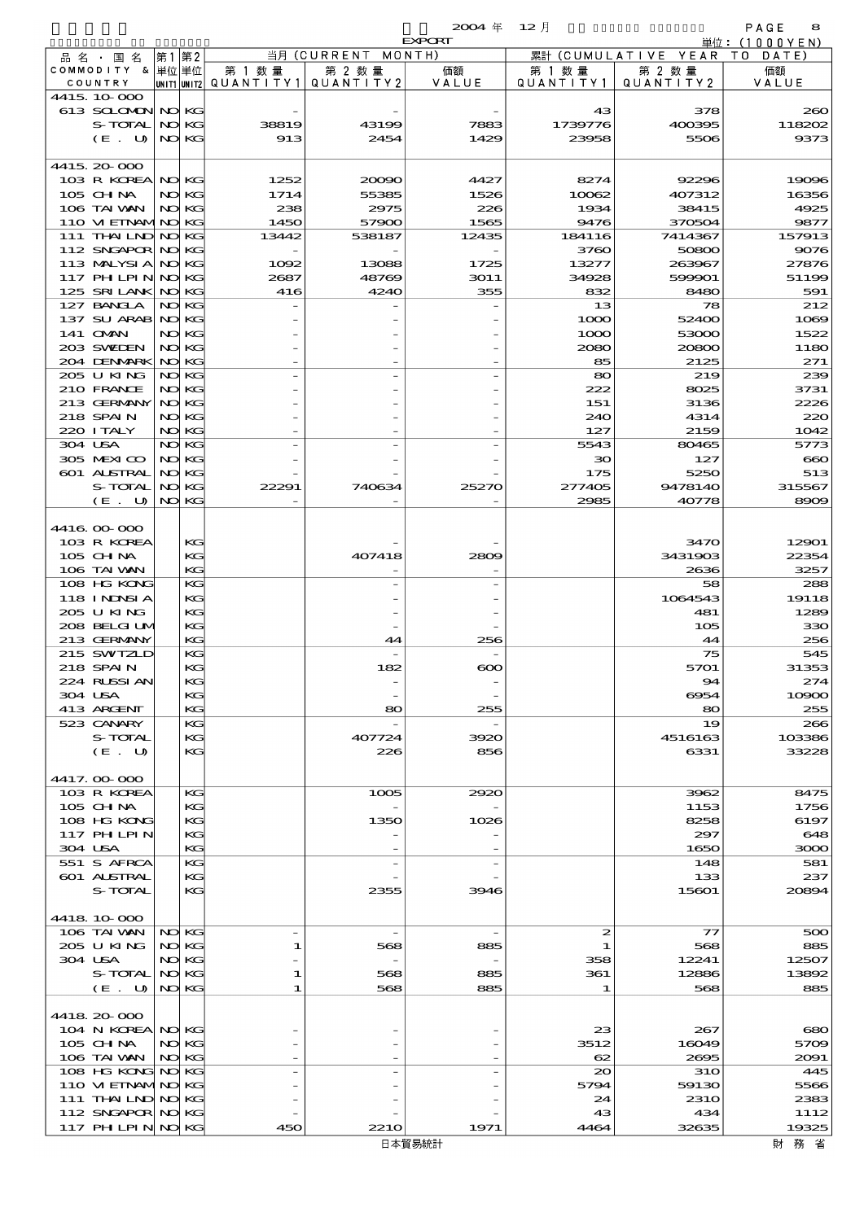$\begin{array}{ccccccccc}\n\textbf{2004} & \# & \textbf{12} \end{array} \begin{array}{ccccccccccc}\n\textbf{12} & \# & & \textbf{12} & \end{array}$ 

|                                      |      |          |                                       |                    | <b>EXPORT</b> |                   |                              | 単位: <u>(1000YEN)</u>   |
|--------------------------------------|------|----------|---------------------------------------|--------------------|---------------|-------------------|------------------------------|------------------------|
| 品名・国名                                | 第1第2 |          |                                       | 当月 (CURRENT MONTH) |               |                   | 累計 (CUMULATIVE YEAR TO DATE) |                        |
| COMMODITY & 単位単位                     |      |          | 第 1 数量                                | 第 2 数量             | 価額            | 第 1 数量            | 第 2 数量                       | 価額                     |
| COUNTRY                              |      |          | unit1 unit2  Q∪ANT   TY1  Q∪ANT   TY2 |                    | VALUE         | Q U A N T I T Y 1 | QUANTITY2                    | VALUE                  |
| 4415, 10,000                         |      |          |                                       |                    |               |                   |                              |                        |
| 613 SCLOMON NO KG<br>S-TOTAL         |      | NO KG    | 38819                                 | 43199              | 7883          | 43<br>1739776     | 378<br>400395                | 200<br>118202          |
| (E. U)                               |      | NO KG    | 913                                   | 2454               | 1429          | 23958             | 5506                         | 9373                   |
|                                      |      |          |                                       |                    |               |                   |                              |                        |
| 4415.20-000                          |      |          |                                       |                    |               |                   |                              |                        |
| 103 R KOREA NO KG                    |      |          | 1252                                  | 20090              | 4427          | 8274              | 92296                        | 19096                  |
| 105 CHNA                             |      | NO KG    | 1714                                  | 55385              | 1526          | 10062             | 407312                       | 16356                  |
| 106 TAI WAN                          |      | NO KG    | 238                                   | 2975               | 226           | 1934              | 38415                        | 4925                   |
| 110 VI EINAMINO KG                   |      |          | 1450                                  | 57900              | 1565          | 9476              | 370504                       | 9877                   |
| 111 THAILND NO KG                    |      |          | 13442                                 | 538187             | 12435         | 184116            | 7414367                      | 157913                 |
| 112 SNGAPOR NO KG                    |      |          |                                       |                    |               | 3760              | 50800                        | 9076                   |
| 113 MALYSIA NO KG                    |      |          | 1092                                  | 13088              | 1725          | 13277             | 263967                       | <b>27876</b>           |
| 117 PH LPIN NOKG                     |      |          | 2687                                  | 48769              | 3011          | 34928             | 599901                       | 51196                  |
| 125 SRILANK NO KG                    |      |          | 416                                   | 4240               | 355           | 832               | 8480                         | 591                    |
| 127 BANCLA                           |      | NO KG    |                                       |                    |               | 13<br>1000        | 78                           | 212                    |
| 137 SU ARAB NO KG<br>141 OMN         |      | NO KG    |                                       |                    |               |                   | 52400                        | 1065                   |
| 203 SWIDEN                           |      | NO KG    |                                       |                    |               | 1000<br>2080      | 53000<br>20800               | 1522<br>1180           |
| 204 DENMARK NO KG                    |      |          |                                       |                    |               | 85                | 2125                         | 271                    |
| 205 U KING                           |      | NO KG    |                                       |                    |               | 80                | 219                          | 230                    |
| 210 FRANCE                           |      | NO KG    |                                       |                    |               | 222               | 8025                         | 3731                   |
| 213 GERMANY                          |      | NO KG    |                                       |                    |               | 151               | 3136                         | 2226                   |
| 218 SPAIN                            |      | NO KG    |                                       |                    |               | 240               | 4314                         | 220                    |
| 220 I TALY                           |      | NO KG    |                                       |                    |               | 127               | 2159                         | 1042                   |
| 304 USA                              |      | NO KG    |                                       |                    |               | 5543              | 80465                        | 5773                   |
| 305 MEXICO                           |      | NO KG    |                                       |                    |               | $30^{\circ}$      | 127                          | $\cot$                 |
| 601 ALSTRAL                          |      | NO KG    |                                       |                    |               | 175               | 5250                         | 513                    |
| S-TOTAL                              |      | NO KG    | 22291                                 | 740634             | 25270         | 277405            | 9478140                      | 315567                 |
| (E. U)                               |      | NO KG    |                                       |                    |               | 2985              | 40778                        | 8900                   |
|                                      |      |          |                                       |                    |               |                   |                              |                        |
| 4416.000.000                         |      |          |                                       |                    |               |                   |                              |                        |
| 103 R KOREA                          |      | KG       |                                       |                    |               |                   | 3470                         | 12901                  |
| 105 CH NA<br>106 TAI VAN             |      | KG<br>KG |                                       | 407418             | 2809          |                   | 3431903<br>2636              | 22354<br>3257          |
| 108 HG KONG                          |      | KG       |                                       |                    |               |                   | 58                           | 288                    |
| <b>118 INNSIA</b>                    |      | KG       |                                       |                    |               |                   | 1064543                      | 19118                  |
| 205 U KING                           |      | KG       |                                       |                    |               |                   | 481                          | 1289                   |
| 208 BELGI UM                         |      | KG       |                                       |                    |               |                   | 105                          | 33C                    |
| 213 GERMANY                          |      | KG       |                                       | 44                 | 256           |                   | 44                           | 25€                    |
| 215 SWIZLD                           |      | KG       |                                       |                    |               |                   | 75                           | 545                    |
| 218 SPAIN                            |      | KG       |                                       | 182                | $\infty$      |                   | 5701                         | 31353                  |
| 224 RUSSI AN                         |      | KG       |                                       |                    |               |                   | 94                           | 274                    |
| 304 USA                              |      | KG       |                                       |                    |               |                   | 6954                         | 1000C                  |
| 413 ARCENT                           |      | KC       |                                       | 80                 | 255           |                   | 80                           | 255                    |
| 523 CANARY                           |      | KC       |                                       |                    |               |                   | 19                           | 200                    |
| S-TOTAL                              |      | KG<br>KG |                                       | 407724             | 3920          |                   | 4516163                      | 103386                 |
| (E. U)                               |      |          |                                       | 226                | 856           |                   | 6331                         | 33228                  |
| 4417.000000                          |      |          |                                       |                    |               |                   |                              |                        |
| 103 R KOREA                          |      | KG       |                                       | 1005               | 2920          |                   | 3962                         | 8475                   |
| 105 CH NA                            |      | KG       |                                       |                    |               |                   | 1153                         | 1756                   |
| 108 HG KONG                          |      | KC       |                                       | 1350               | 1026          |                   | 8258                         | 6197                   |
| 117 PHLPIN                           |      | KG       |                                       |                    |               |                   | 297                          | 648                    |
| 304 USA                              |      | KG       |                                       |                    |               |                   | 1650                         | 3000                   |
| 551 S AFRCA                          |      | KC       |                                       |                    |               |                   | 148                          | 581                    |
| 601 ALSTRAL                          |      | KG       |                                       |                    |               |                   | 133                          | 237                    |
| S-TOTAL                              |      | KG       |                                       | 2355               | 3946          |                   | 15601                        | 20894                  |
|                                      |      |          |                                       |                    |               |                   |                              |                        |
| 4418 10 000<br>106 TAI WAN           |      | NO KG    | $\overline{\phantom{a}}$              | $\overline{a}$     |               | 2                 | $\tau\tau$                   |                        |
| 205 U KING                           |      | NO KG    | 1                                     | 568                | 885           | 1                 | 568                          | 500<br>885             |
| 304 USA                              |      | NO KG    |                                       |                    |               | 358               | 12241                        | 12507                  |
| S-TOTAL                              |      | NO KG    | 1                                     | 568                | 885           | 361               | 12886                        | 13892                  |
| (E. U)                               |      | NO KG    | 1                                     | 568                | 885           | 1                 | 568                          | 885                    |
|                                      |      |          |                                       |                    |               |                   |                              |                        |
| 4418 20 000                          |      |          |                                       |                    |               |                   |                              |                        |
| 104 N KOREA NO KG                    |      |          |                                       |                    |               | 23                | 267                          | $\mathbf{c}\mathbf{c}$ |
| 105 CH NA                            |      | NO KG    |                                       |                    |               | 3512              | 16049                        | 570E                   |
| 106 TAI WAN NO KG                    |      |          |                                       |                    |               | 62                | 2695                         | 2091                   |
| 108 HG KONG NO KG                    |      |          |                                       |                    |               | $_{\infty}$       | <b>31O</b>                   | 445                    |
| 110 VI EINAMINO KG                   |      |          |                                       |                    |               | 5794              | 59130                        | 5566                   |
| 111 THAILND NO KG                    |      |          |                                       |                    |               | 24                | 231O                         | 2383<br>1112           |
| 112 SNGAPOR NO KG<br>117 PHLPIN NOKG |      |          | 450                                   | <b>2210</b>        | 1971          | 43<br>4464        | 434<br>32635                 | 19325                  |
|                                      |      |          |                                       |                    |               |                   |                              |                        |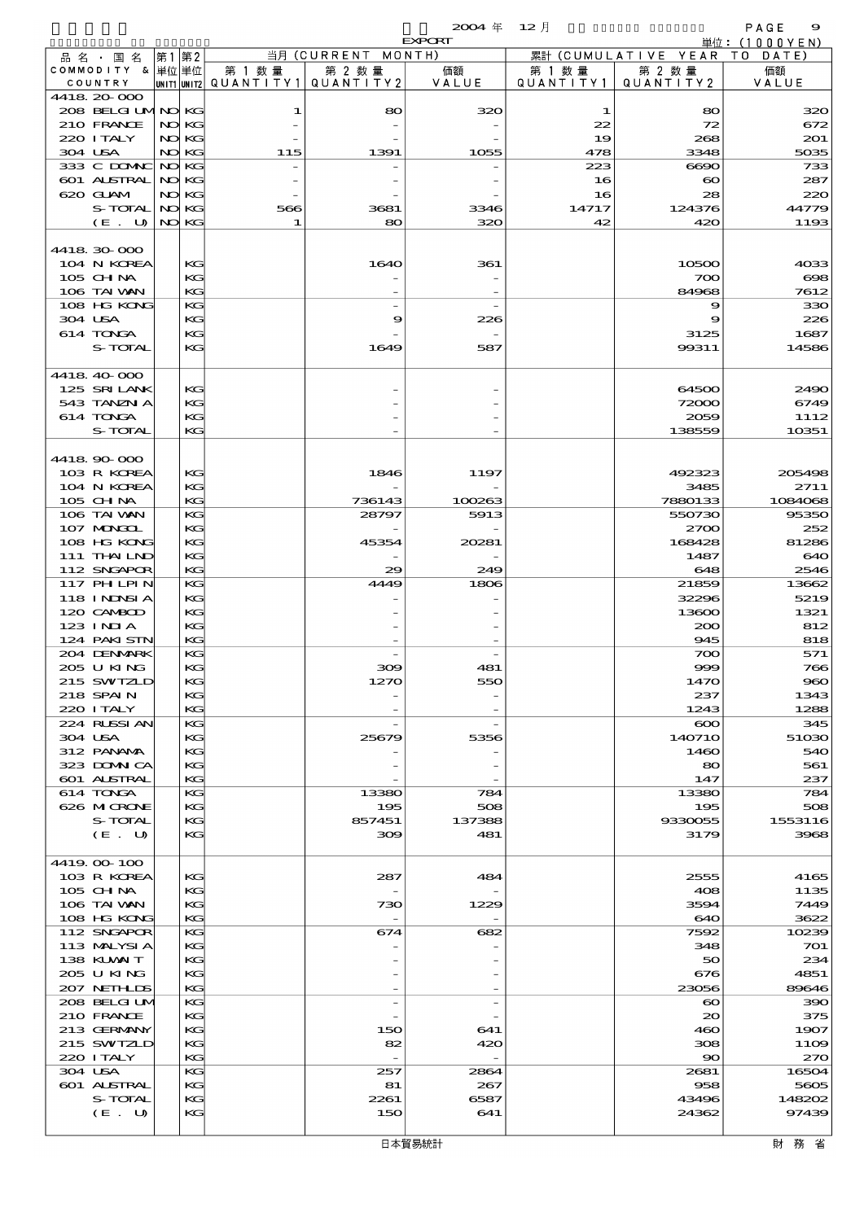$\overline{2004}$   $\overline{4}$   $\overline{12}$   $\overline{12}$   $\overline{12}$   $\overline{13}$   $\overline{12}$   $\overline{14}$   $\overline{15}$   $\overline{16}$   $\overline{16}$   $\overline{17}$   $\overline{18}$   $\overline{18}$   $\overline{18}$   $\overline{18}$   $\overline{18}$   $\overline{18}$   $\overline{18}$   $\overline{18}$   $\overline{18}$   $\overline{18}$ 

|                                 |       |                 |                                 |                          | <b>EXPORT</b> |           |                            | 単位:(1000YEN)  |
|---------------------------------|-------|-----------------|---------------------------------|--------------------------|---------------|-----------|----------------------------|---------------|
| 品 名 国 名                         | 第1    | 第2              |                                 | 当月 (CURRENT              | MONTH)        |           | 累計 (CUMULATIVE YEAR        | T O<br>DATE)  |
| COMMODITY & 単位単位                |       |                 | 第 1 数 量                         | 第 2 数量                   | 価額            | 第 1 数 量   | 第 2 数量                     | 価額            |
| COUNTRY                         |       |                 | UNIT1 UNIT2 QUANTITY1 QUANTITY2 |                          | VALUE         | QUANTITY1 | QUANTITY2                  | VALUE         |
| 4418 20 000                     |       |                 |                                 |                          |               |           |                            |               |
| 208 BELGI UMNO KG<br>210 FRANCE |       | NO KG           | 1                               | 80                       | 320           | 1<br>22   | 80<br>72                   | 320           |
| 220 I TALY                      |       | NO KG           |                                 |                          |               | 19        | 268                        | 672<br>201    |
| 304 USA                         |       | NO KG           | 115                             | 1391                     | 1055          | 478       | 3348                       | 5035          |
| 333 C DOMAC                     | NO KG |                 |                                 |                          |               | 223       | $\Theta$ $\Theta$ $\Theta$ | 733           |
| 601 ALSTRAL                     | NO KG |                 |                                 |                          |               | 16        | $\boldsymbol{\infty}$      | 287           |
| 620 GUAM                        |       | NO KG           |                                 |                          |               | 16        | 28                         | 220           |
| S-TOTAL                         | NO KG |                 | 566                             | 3681                     | 3346          | 14717     | 124376                     | 44779         |
| (E. U)                          |       | NO KG           | 1                               | 80                       | 320           | 42        | 420                        | 1193          |
|                                 |       |                 |                                 |                          |               |           |                            |               |
| 4418 30 000                     |       |                 |                                 |                          |               |           |                            |               |
| 104 N KOREA                     |       | KG              |                                 | 1640                     | 361           |           | 10500                      | 4033          |
| 105 CHNA                        |       | KG              |                                 |                          |               |           | 700                        | $\infty$      |
| 106 TAI VAN                     |       | KG              |                                 |                          |               |           | 84968                      | 7612          |
| 108 HG KONG                     |       | KG              |                                 | $\overline{\phantom{0}}$ |               |           | 9                          | 330           |
| 304 USA                         |       | KG              |                                 | 9                        | 226           |           | 9                          | 226           |
| 614 TONGA<br>S-TOTAL            |       | KG<br>KG        |                                 |                          |               |           | 3125                       | 1687<br>14586 |
|                                 |       |                 |                                 | 1649                     | 587           |           | 99311                      |               |
| 4418 40 000                     |       |                 |                                 |                          |               |           |                            |               |
| 125 SRILANK                     |       | KG              |                                 |                          |               |           | 64500                      | 2490          |
| 543 TANZN A                     |       | KG              |                                 |                          |               |           | 72000                      | 6749          |
| 614 TONGA                       |       | KG              |                                 |                          |               |           | 2059                       | 1112          |
| S-TOTAL                         |       | KG              |                                 |                          |               |           | 138559                     | 10351         |
|                                 |       |                 |                                 |                          |               |           |                            |               |
| 4418 90 000                     |       |                 |                                 |                          |               |           |                            |               |
| 103 R KOREA                     |       | KG              |                                 | 1846                     | 1197          |           | 492323                     | 205498        |
| 104 N KOREA                     |       | KG              |                                 |                          |               |           | 3485                       | 2711          |
| 105 CH NA                       |       | KG              |                                 | 736143                   | 100263        |           | 7880133                    | 1084068       |
| 106 TAI VAN                     |       | KG              |                                 | 28797                    | 5913          |           | 550730                     | 95350         |
| 107 MONGOL                      |       | KG<br>KG        |                                 | 45354                    | 20281         |           | 2700<br>168428             | 252           |
| 108 HG KONG<br>111 THAILND      |       | KG              |                                 |                          |               |           | 1487                       | 81286<br>640  |
| 112 SNGAPOR                     |       | KG              |                                 | 29                       | 249           |           | 648                        | 2546          |
| 117 PHLPIN                      |       | KG              |                                 | 4449                     | 1806          |           | 21859                      | 13662         |
| 118 I NDSI A                    |       | KG              |                                 |                          |               |           | 32296                      | 5219          |
| 120 CAMBOD                      |       | KG              |                                 |                          |               |           | 13600                      | 1321          |
| 123 INIA                        |       | KG              |                                 |                          |               |           | 200                        | 812           |
| 124 PAKISTN                     |       | KG              |                                 |                          |               |           | 945                        | 818           |
| 204 DENMARK                     |       | KG              |                                 |                          |               |           | 700                        | 571           |
| 205 U KING                      |       | KG              |                                 | 309                      | 481           |           | 999                        | 766           |
| 215 SWTZLD                      |       | KG <sub>r</sub> |                                 | 1270                     | 550           |           | 1470                       | 960           |
| 218 SPAIN                       |       | KG              |                                 |                          |               |           | 237                        | 1343          |
| 220 I TALY                      |       | KG              |                                 |                          |               |           | 1243                       | 1288          |
| 224 RUSSI AN                    |       | KG              |                                 |                          |               |           | $\infty$                   | 345           |
| 304 USA<br>312 PANAMA           |       | KG<br>KG        |                                 | 25679                    | 5356          |           | 140710<br>1460             | 51030         |
| 323 DOMNICA                     |       | KG              |                                 |                          |               |           | 80                         | 540<br>561    |
| 601 ALSTRAL                     |       | KG              |                                 |                          |               |           | 147                        | 237           |
| 614 TONGA                       |       | KG              |                                 | 13380                    | 784           |           | 13380                      | 784           |
| 626 MICRONE                     |       | KG              |                                 | 195                      | 508           |           | 195                        | 508           |
| S-TOTAL                         |       | KG              |                                 | 857451                   | 137388        |           | 9330055                    | 1553116       |
| (E. U)                          |       | KG              |                                 | 309                      | 481           |           | 3179                       | 3968          |
|                                 |       |                 |                                 |                          |               |           |                            |               |
| 4419 00 100                     |       |                 |                                 |                          |               |           |                            |               |
| 103 R KOREA                     |       | КG              |                                 | 287                      | 484           |           | 2555                       | 4165          |
| $105$ CHNA                      |       | KG              |                                 |                          |               |           | 408                        | 1135          |
| 106 TAI VAN                     |       | KC              |                                 | 730                      | 1229          |           | 3594                       | 7449          |
| 108 HG KONG                     |       | KG              |                                 |                          |               |           | 640                        | 3622          |
| 112 SNGAPOR                     |       | KG              |                                 | 674                      | 682           |           | 7592                       | 10239         |
| 113 MALYSIA<br>138 KUWAIT       |       | KG<br>KG        |                                 |                          |               |           | 348<br>50                  | 701<br>234    |
| 205 U KING                      |       | KG              |                                 |                          |               |           | 676                        | 4851          |
| 207 NETHLIDS                    |       | KG              |                                 |                          |               |           | 23056                      | 89646         |
| 208 BELGI UM                    |       | KG              |                                 |                          |               |           | $\boldsymbol{\infty}$      | 390           |
| 210 FRANCE                      |       | KG              |                                 |                          |               |           | $\infty$                   | 375           |
| 213 GERMANY                     |       | KG              |                                 | 150                      | 641           |           | 460                        | 1907          |
| 215 SWIZLD                      |       | KG              |                                 | 82                       | 420           |           | 308                        | 1109          |
| 220 I TALY                      |       | KG              |                                 |                          |               |           | $\infty$                   | 270           |
| 304 USA                         |       | KG              |                                 | 257                      | 2864          |           | 2681                       | 16504         |
| 601 ALSTRAL                     |       | KG              |                                 | 81                       | 267           |           | 958                        | 5605          |
| S-TOTAL                         |       | KG              |                                 | 2261                     | 6587          |           | 43496                      | 148202        |
| (E. U)                          |       | KG              |                                 | 150                      | 641           |           | 24362                      | 97439         |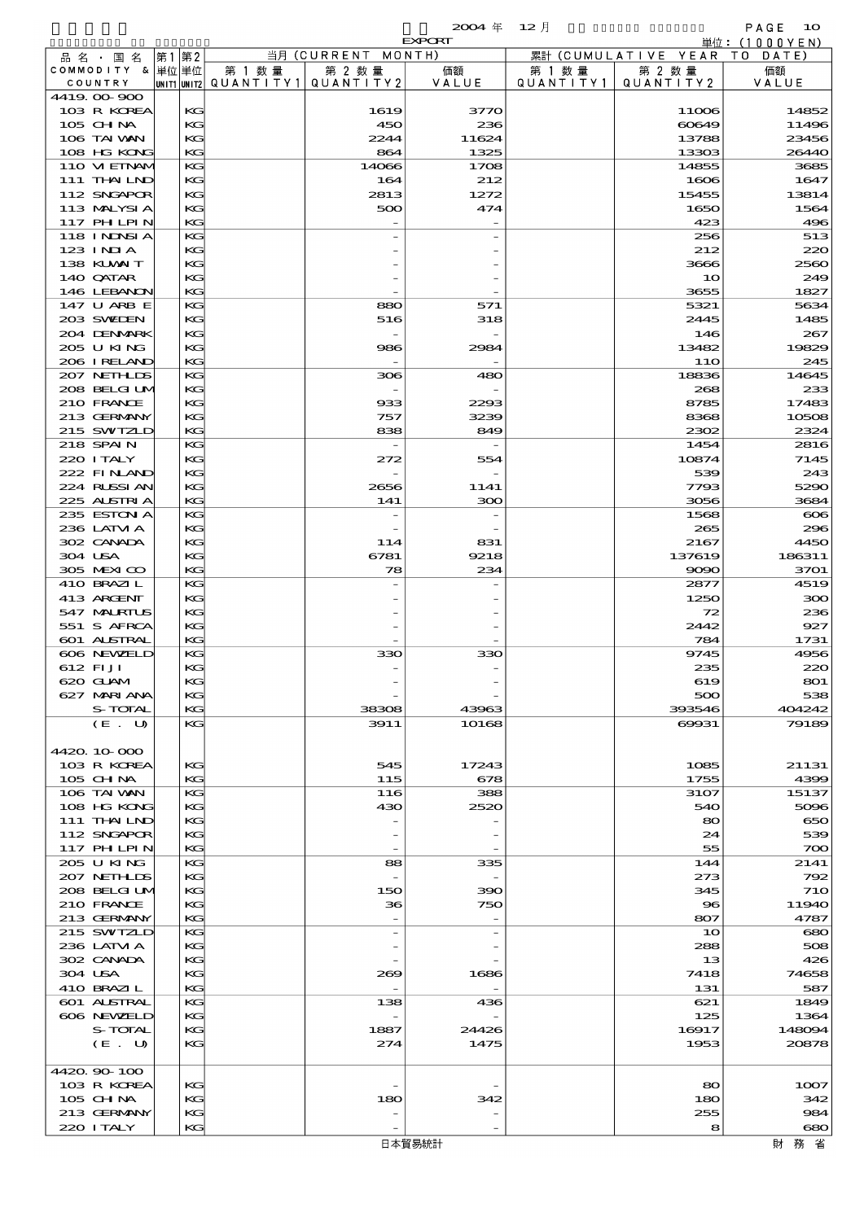|                                   |             |                      |                                 | $2004 \text{ } \#$              | $12$ 月               |                      | PAGE<br>10                     |
|-----------------------------------|-------------|----------------------|---------------------------------|---------------------------------|----------------------|----------------------|--------------------------------|
| 品名・国名                             | 第2          |                      | 当月 (CURRENT                     | <b>EXPORT</b><br>MONTH)         |                      | 累計 (CUMULATIVE YEAR) | 単位: $(1000YEN)$<br>T O<br>DATE |
| COMMODITY & 単位単位<br>COUNTRY       | 第1          | 第 1 数 量<br>QUANTITY1 | 第 2 数量<br>QUANTITY2             | 価額<br>VALUE                     | 第 1 数 量<br>QUANTITY1 | 第 2 数 量<br>QUANTITY2 | 価額<br>VALUE                    |
| 4419.00-900                       | UNIT1 UNIT2 |                      |                                 |                                 |                      |                      |                                |
| 103 R KOREA                       | KG          |                      | 1619                            | 3770                            |                      | 11006                | 14852                          |
| $105$ CHNA                        | KG          |                      | 450                             | 236                             |                      | 60649                | 11496                          |
| 106 TAI VAN<br>108 HG KONG        | KG<br>KG    |                      | 2244<br>864                     | 11624<br>1325                   |                      | 13788<br>13303       | 23456<br>26440                 |
| 110 VI EINAM                      | KG          |                      | 14066                           | 1708                            |                      | 14855                | 3685                           |
| 111 THAILND                       | KG          |                      | 164                             | 212                             |                      | 1606                 | 1647                           |
| 112 SNGAPOR                       | KG          |                      | 2813                            | 1272                            |                      | 15455                | 13814                          |
| 113 MALYSIA                       | KG          |                      | 500                             | 474                             |                      | 1650                 | 1564                           |
| 117 PHLPIN                        | KG          |                      |                                 |                                 |                      | 423                  | 496                            |
| 118 I NDSI A<br>$123$ INIA        | KG<br>KG    |                      |                                 |                                 |                      | 256<br>212           | 513<br>220                     |
| 138 KUWAIT                        | KG          |                      |                                 |                                 |                      | 3666                 | 2560                           |
| 140 QATAR                         | KG          |                      |                                 |                                 |                      | 10                   | 249                            |
| 146 LEBANON                       | KG          |                      |                                 |                                 |                      | 3655                 | 1827                           |
| 147 U ARB E                       | KG          |                      | 880                             | 571                             |                      | 5321                 | 5634                           |
| 203 SWIDEN<br>204 DENMARK         | KG<br>KG    |                      | 516<br>$\overline{\phantom{a}}$ | 318                             |                      | 2445<br>146          | 1485<br>267                    |
| 205 U KING                        | KG          |                      | 986                             | 2984                            |                      | 13482                | 19829                          |
| 206 I RELAND                      | KG          |                      |                                 |                                 |                      | 11O                  | 245                            |
| 207 NETHLIS                       | KG          |                      | 306                             | 480                             |                      | 18836                | 14645                          |
| 208 BELGI UM                      | KG          |                      |                                 |                                 |                      | 268                  | 233                            |
| 210 FRANCE                        | KG          |                      | 933                             | 2293                            |                      | 8785                 | 17483                          |
| 213 GERMANY<br>215 SWIZLD         | KG<br>KG    |                      | 757<br>838                      | 3239<br>849                     |                      | 8368<br>2302         | 10508<br>2324                  |
| 218 SPAIN                         | KG          |                      |                                 |                                 |                      | 1454                 | 2816                           |
| 220 I TALY                        | KG          |                      | 272                             | 554                             |                      | 10874                | 7145                           |
| 222 FINAND                        | KG          |                      |                                 |                                 |                      | 539                  | 243                            |
| 224 RUSSIAN                       | KG          |                      | 2656                            | 1141                            |                      | 7793                 | 5290                           |
| 225 ALSTRIA                       | KG          |                      | 141                             | 300                             |                      | 3056                 | 3684                           |
| 235 ESTON A                       | KG          |                      | $\overline{\phantom{a}}$        |                                 |                      | 1568                 | $\infty$                       |
| 236 LATM A<br>302 CANADA          | KG<br>KG    |                      | 114                             | 831                             |                      | 265<br>2167          | 296<br>4450                    |
| 304 USA                           | KG          |                      | 6781                            | 9218                            |                      | 137619               | 186311                         |
| 305 MEXICO                        | KG          |                      | 78                              | 234                             |                      | 9090                 | 3701                           |
| 410 BRAZIL                        | KG          |                      |                                 |                                 |                      | 2877                 | 4519                           |
| 413 ARGENT                        | KG          |                      |                                 |                                 |                      | 1250                 | 300                            |
| 547 MARIUS                        | KG          |                      |                                 |                                 |                      | 72                   | 236                            |
| 551 S AFRCA<br><b>601 ALSTRAL</b> | KG<br>KG    |                      |                                 |                                 |                      | 2442<br>784          | 927<br>1731                    |
| 606 NEWELD                        | KG          |                      | 330                             | 330                             |                      | 9745                 | 4956                           |
| 612 FI JI                         | KG          |                      |                                 |                                 |                      | 235                  | 220                            |
| 620 GLAM                          | KG          |                      |                                 |                                 |                      | 619                  | 801                            |
| 627 MARI ANA                      | KG          |                      |                                 |                                 |                      | 500                  | 538                            |
| S-TOTAL                           | KG<br>KG    |                      | 38308                           | 43963                           |                      | 393546               | 404242                         |
| (E. U)                            |             |                      | 3911                            | 10168                           |                      | 69931                | 79189                          |
| 4420 10 000                       |             |                      |                                 |                                 |                      |                      |                                |
| 103 R KOREA                       | KG          |                      | 545                             | 17243                           |                      | 1085                 | 21131                          |
| 105 CH NA                         | KG          |                      | 115                             | 678                             |                      | 1755                 | 4399                           |
| 106 TAI VAN                       | KG          |                      | 116                             | 388                             |                      | 3107                 | 15137                          |
| 108 HG KONG<br>111 THAILND        | KG<br>KG    |                      | 430                             | 2520                            |                      | 540<br>80            | 5096<br>650                    |
| 112 SNGAPOR                       | KG          |                      |                                 |                                 |                      | 24                   | 539                            |
| 117 PH LPIN                       | KG          |                      |                                 |                                 |                      | 55                   | 700                            |
| 205 U KING                        | KG          |                      | 88                              | 335                             |                      | 144                  | 2141                           |
| 207 NETHLIS                       | KG          |                      |                                 |                                 |                      | 273                  | 792                            |
| 208 BELGI UM                      | KG          |                      | 150                             | 390                             |                      | 345                  | <b>710</b>                     |
| 210 FRANCE<br>213 GERMANY         | KG<br>KG    |                      | 36                              | 750<br>$\overline{\phantom{a}}$ |                      | $\bf{8}$<br>807      | 11940<br>4787                  |
| 215 SWIZLD                        | KG          |                      | $\overline{\phantom{a}}$        | $\overline{\phantom{a}}$        |                      | 10                   | 680                            |
| 236 LATM A                        | KG          |                      |                                 |                                 |                      | 288                  | 508                            |
| 302 CANADA                        | KG          |                      |                                 |                                 |                      | 13                   | 426                            |
| 304 USA                           | KG          |                      | 269                             | 1686                            |                      | 7418                 | 74658                          |
| 410 BRAZIL                        | KG          |                      |                                 |                                 |                      | 131                  | 587                            |
| 601 ALSTRAL<br>606 NEWELD         | KG<br>KG    |                      | 138                             | 436                             |                      | 621<br>125           | 1849<br>1364                   |
| S-TOTAL                           | KG          |                      | 1887                            | 24426                           |                      | 16917                | 148094                         |
| (E. U)                            | KG          |                      | 274                             | 1475                            |                      | 1953                 | 20878                          |
|                                   |             |                      |                                 |                                 |                      |                      |                                |
| 4420.90-100                       |             |                      |                                 |                                 |                      |                      |                                |
| 103 R KOREA<br>105 CH NA          | KG<br>KG    |                      | 180                             | 342                             |                      | 80<br>180            | 1007<br>342                    |
| 213 GERMANY                       | KG          |                      |                                 |                                 |                      | 255                  | 984                            |
| 220 I TALY                        | KG          |                      |                                 |                                 |                      | 8                    | 680                            |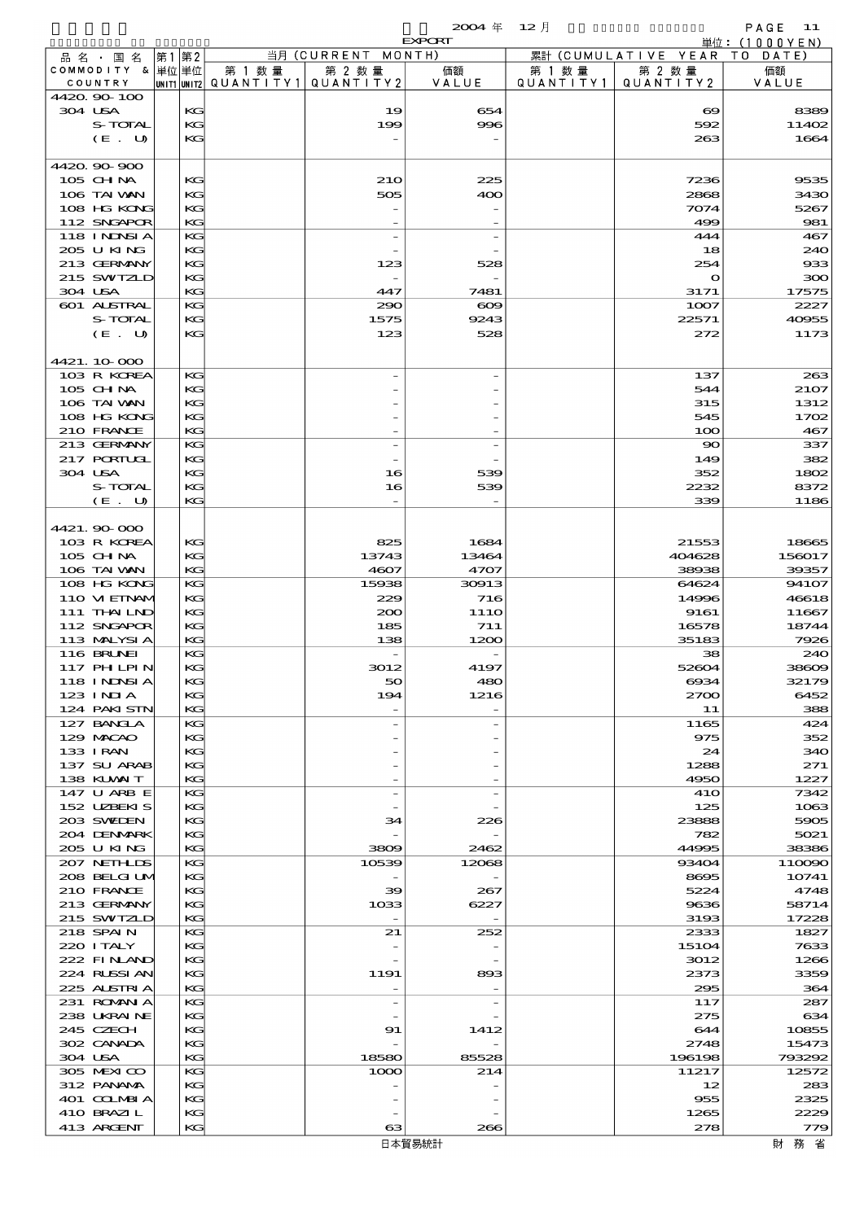$2004 \quad \text{#} \quad 12 \quad \text{#}$  PAGE 11

|                             |       |          |        |                                                     | <b>EXPORT</b> |                      |                              | 単位: (1000 Y E N) |
|-----------------------------|-------|----------|--------|-----------------------------------------------------|---------------|----------------------|------------------------------|------------------|
| 品名・国名                       | 第1 第2 |          |        | 当月 (CURRENT MONTH)                                  |               |                      | 累計 (CUMULATIVE YEAR TO DATE) |                  |
| COMMODITY & 単位単位<br>COUNTRY |       |          | 第 1 数量 | 第 2 数量<br> UNIT1  UNIT2   QUANT I TY1   QUANT I TY2 | 価額<br>VALUE   | 第 1 数 量<br>QUANTITY1 | 第 2 数量<br>QUANTITY 2         | 価額<br>VALUE      |
| 4420 90 100                 |       |          |        |                                                     |               |                      |                              |                  |
| 304 USA                     |       | KG       |        | 19                                                  | 654           |                      | $\boldsymbol{\infty}$        | 8389             |
| S-TOTAL                     |       | KG       |        | 199                                                 | 996           |                      | 592                          | 11402            |
| (E. U)                      |       | KG       |        |                                                     |               |                      | 263                          | 1664             |
|                             |       |          |        |                                                     |               |                      |                              |                  |
| 4420 90 900<br>105 CHNA     |       | KG       |        | 210                                                 | 225           |                      | 7236                         | 9535             |
| 106 TAI VAN                 |       | KG       |        | 505                                                 | 400           |                      | 2868                         | 3430             |
| 108 HG KONG                 |       | KG       |        |                                                     |               |                      | 7074                         | 5267             |
| 112 SNGAPOR                 |       | KG       |        |                                                     |               |                      | 499                          | 981              |
| 118 I NDSI A                |       | KG       |        |                                                     |               |                      | 444                          | 467              |
| 205 U KING                  |       | KG       |        |                                                     |               |                      | 18                           | 240              |
| 213 GERMANY                 |       | KG       |        | 123                                                 | 528           |                      | 254                          | 933              |
| 215 SWIZLD<br>304 USA       |       | KG<br>KG |        | $\overline{\phantom{a}}$<br>447                     | 7481          |                      | $\mathbf o$<br>3171          | 300<br>17575     |
| 601 ALSTRAL                 |       | KG       |        | 290                                                 | $\infty$      |                      | 1007                         | 2227             |
| S-TOTAL                     |       | KG       |        | 1575                                                | 9243          |                      | 22571                        | 40955            |
| (E. U)                      |       | KG       |        | 123                                                 | 528           |                      | 272                          | 1173             |
|                             |       |          |        |                                                     |               |                      |                              |                  |
| 4421.10.000                 |       |          |        |                                                     |               |                      |                              |                  |
| 103 R KOREA                 |       | KG<br>KG |        |                                                     |               |                      | 137<br>544                   | 263              |
| 105 CHNA<br>106 TAI VAN     |       | KG       |        |                                                     |               |                      | 315                          | 2107<br>1312     |
| 108 HG KONG                 |       | KG       |        |                                                     |               |                      | 545                          | 1702             |
| 210 FRANCE                  |       | KG       |        |                                                     |               |                      | 100                          | 467              |
| 213 GERMANY                 |       | KG       |        |                                                     |               |                      | $\infty$                     | 337              |
| 217 PORTUGL                 |       | KG       |        |                                                     |               |                      | 149                          | 382              |
| 304 USA                     |       | KG       |        | 16                                                  | 539           |                      | 352                          | 1802             |
| S-TOTAL                     |       | KG       |        | 16                                                  | 539           |                      | 2232                         | 8372             |
| (E. U)                      |       | КC       |        |                                                     |               |                      | 339                          | 1186             |
| 4421.90 000                 |       |          |        |                                                     |               |                      |                              |                  |
| 103 R KOREA                 |       | KG       |        | 825                                                 | 1684          |                      | 21553                        | 18665            |
| 105 CH NA                   |       | KG       |        | 13743                                               | 13464         |                      | 404628                       | 156017           |
| 106 TAI VAN                 |       | KG       |        | 4607                                                | 4707          |                      | 38938                        | 39357            |
| 108 HG KONG                 |       | KG       |        | 15938                                               | 30913         |                      | 64624                        | 94107            |
| 110 VIEINAM<br>111 THAILND  |       | KG       |        | 229                                                 | 716           |                      | 14996                        | 46618            |
| 112 SNGAPOR                 |       | KG<br>KG |        | 200<br>185                                          | 111O<br>711   |                      | 9161<br>16578                | 11667<br>18744   |
| 113 MALYSIA                 |       | KG       |        | 138                                                 | 1200          |                      | 35183                        | 7926             |
| <b>116 BRUNEI</b>           |       | KС       |        |                                                     |               |                      | 38                           | 240              |
| <b>117 PHLPIN</b>           |       | KG       |        | 3012                                                | 4197          |                      | 52604                        | 38609            |
| 118 I NJNSI A               |       | KG       |        | 50                                                  | 480           |                      | 6934                         | 32179            |
| 123 INIA                    |       | KG       |        | 194                                                 | 1216          |                      | $z\infty$                    | 6452             |
| 124 PAKI STN<br>127 BANCLA  |       | KG<br>KG |        |                                                     |               |                      | 11<br>1165                   | 388<br>424       |
| 129 MACAO                   |       | KG       |        |                                                     |               |                      | 975                          | 352              |
| 133 I RAN                   |       | KG       |        |                                                     |               |                      | 24                           | 340              |
| 137 SU ARAB                 |       | KG       |        |                                                     |               |                      | 1288                         | 271              |
| 138 KUWAIT                  |       | KG       |        |                                                     |               |                      | 4950                         | 1227             |
| 147 U ARB E                 |       | KG       |        |                                                     |               |                      | 41O                          | 7342             |
| 152 UZBEKIS<br>203 SWIEN    |       | KG       |        |                                                     |               |                      | 125                          | 1063             |
| 204 DENMARK                 |       | KG<br>KG |        | 34                                                  | 226           |                      | 23888<br>782                 | 5905<br>5021     |
| 205 U KING                  |       | KG       |        | 3809                                                | 2462          |                      | 44995                        | 38386            |
| 207 NETHLIS                 |       | KG       |        | 10539                                               | 12068         |                      | 93404                        | 110090           |
| 208 BELGI UM                |       | KG       |        |                                                     |               |                      | 8695                         | 10741            |
| 210 FRANCE                  |       | KG       |        | 39                                                  | 267           |                      | 5224                         | 4748             |
| 213 GERMANY                 |       | KG       |        | 1033                                                | 6227          |                      | 9636                         | 58714            |
| 215 SWIZLD<br>218 SPAIN     |       | KG<br>KG |        | 21                                                  | 252           |                      | 3193<br>2333                 | 17228<br>1827    |
| 220 I TALY                  |       | KG       |        |                                                     |               |                      | 15104                        | 7633             |
| 222 FINAND                  |       | KG       |        |                                                     |               |                      | 3012                         | 1266             |
| 224 RUSSIAN                 |       | KG       |        | 1191                                                | 893           |                      | 2373                         | 3359             |
| 225 ALSTRIA                 |       | KG       |        |                                                     |               |                      | 295                          | 364              |
| 231 ROMANIA                 |       | KG       |        | $\overline{a}$                                      |               |                      | 117                          | 287              |
| 238 UKRAINE<br>245 CZECH    |       | KG       |        |                                                     |               |                      | 275                          | 634              |
| 302 CANADA                  |       | KG<br>KG |        | 91                                                  | 1412          |                      | 644<br>2748                  | 10855<br>15473   |
| 304 USA                     |       | KG       |        | 18580                                               | 85528         |                      | 196198                       | 793292           |
| 305 MEXICO                  |       | KG       |        | 1000                                                | 214           |                      | 11217                        | 12572            |
| 312 PANAMA                  |       | KG       |        |                                                     |               |                      | 12                           | 283              |
| 401 COLMBIA                 |       | KG       |        |                                                     |               |                      | 955                          | 2325             |
| 410 BRAZIL                  |       | KG       |        |                                                     |               |                      | 1265                         | 2229             |
| 413 ARCENT                  |       | KG       |        | 63                                                  | 266           |                      | 278                          | 779              |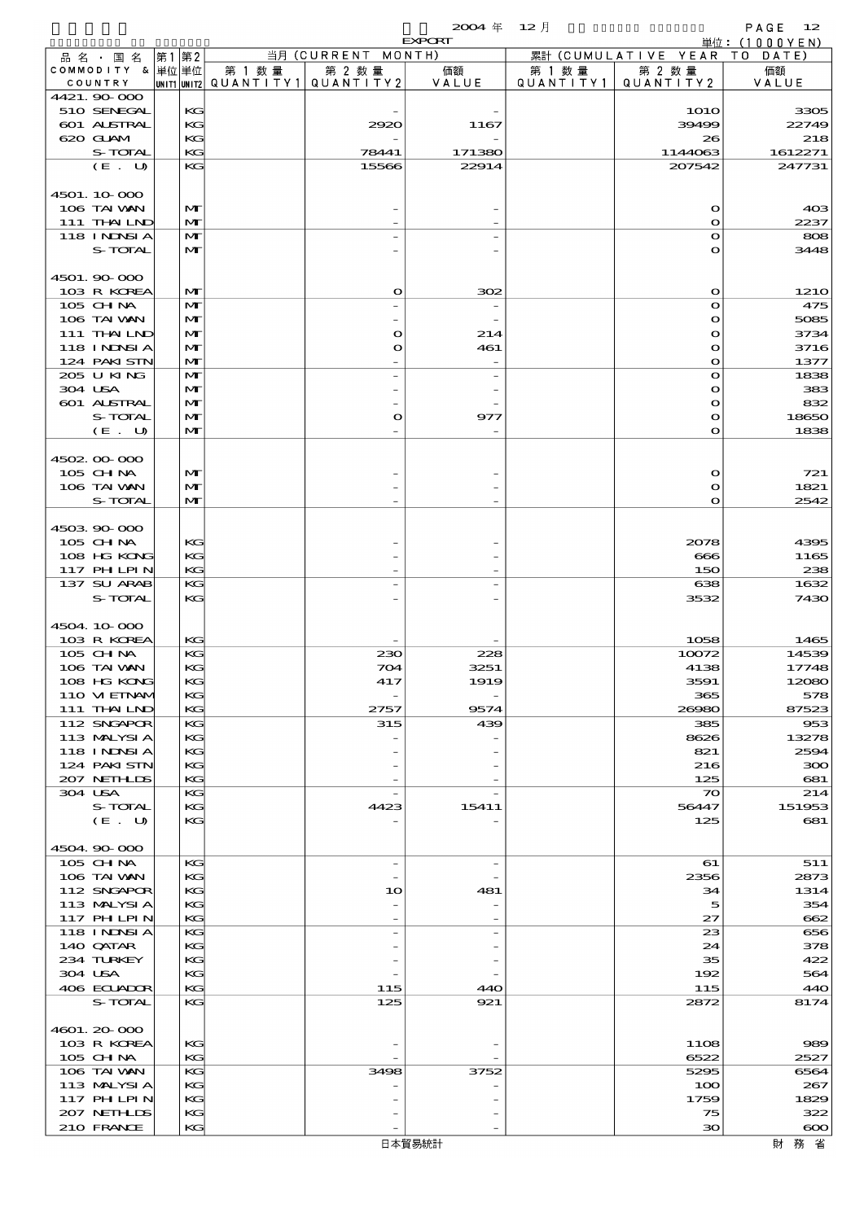|                                  |      |                              |                                       |                                         | $2004 \text{ } \#$ | $12$ 月    |                           | PAGE<br>12                  |
|----------------------------------|------|------------------------------|---------------------------------------|-----------------------------------------|--------------------|-----------|---------------------------|-----------------------------|
| 品 名 ・ 国 名                        | 第1第2 |                              |                                       | 当月 (CURRENT MONTH)                      | <b>EXPORT</b>      |           | 累計 (CUMULATIVE YEAR       | 単位:(1000YEN)<br>T O<br>DATE |
| COMMODITY & 単位単位                 |      |                              | 第 1 数量                                | 第 2 数量                                  | 価額                 | 第 1 数 量   | 第 2 数量                    | 価額                          |
| COUNTRY<br>4421.90 000           |      |                              | unit1 unit2  Q∪ANT   TY1  Q∪ANT   TY2 |                                         | VALUE              | QUANTITY1 | QUANTITY 2                | VALUE                       |
| 510 SENEGAL                      |      | KG                           |                                       |                                         |                    |           | <b>1O1O</b>               | 3305                        |
| 601 ALSTRAL                      |      | KG                           |                                       | 2920                                    | 1167               |           | 39499                     | 22749                       |
| 620 GLAM                         |      | KG                           |                                       |                                         |                    |           | 26                        | 218                         |
| S-TOTAL<br>(E. U)                |      | KG<br>KG                     |                                       | 78441<br>15566                          | 171380<br>22914    |           | 1144063<br>207542         | 1612271<br>247731           |
|                                  |      |                              |                                       |                                         |                    |           |                           |                             |
| 4501.10000                       |      |                              |                                       |                                         |                    |           |                           |                             |
| 106 TAI VAN                      |      | $\mathbf{M}$                 |                                       |                                         |                    |           | $\mathbf o$               | 40 <sup>3</sup>             |
| 111 THAIND<br>118 I NDSI A       |      | $\mathbf{M}$<br>$\mathbf{M}$ |                                       |                                         |                    |           | $\mathbf{o}$<br>$\bullet$ | 2237<br>808                 |
| S-TOTAL                          |      | $\mathbf{M}$                 |                                       |                                         |                    |           | $\mathbf{o}$              | 3448                        |
|                                  |      |                              |                                       |                                         |                    |           |                           |                             |
| 4501.90 000                      |      |                              |                                       |                                         |                    |           |                           |                             |
| 103 R KOREA<br>105 CHNA          |      | $\mathbf{M}$<br>$\mathbf{M}$ |                                       | $\mathbf o$<br>$\overline{\phantom{0}}$ | 302                |           | $\mathbf o$<br>$\bullet$  | <b>1210</b><br>475          |
| 106 TAI VAN                      |      | $\mathbf{M}$                 |                                       |                                         |                    |           | $\mathbf o$               | 5085                        |
| 111 THAILND                      |      | $\mathbf{M}$                 |                                       | $\mathbf o$                             | 214                |           | $\bullet$                 | 3734                        |
| 118 I NDSI A                     |      | $\mathbf{M}$                 |                                       | O                                       | 461                |           | $\mathbf o$               | 3716                        |
| 124 PAKI STN<br>205 U KING       |      | $\mathbf{M}$<br>$\mathbf{M}$ |                                       |                                         |                    |           | $\bullet$<br>$\bullet$    | 1377<br>1838                |
| 304 USA                          |      | $\mathbf{M}$                 |                                       |                                         |                    |           | $\bullet$                 | 383                         |
| 601 ALSTRAL                      |      | $\mathbf{M}$                 |                                       |                                         |                    |           | $\bullet$                 | 832                         |
| S-TOTAL                          |      | $\mathbf{M}$                 |                                       | O                                       | 977                |           | $\mathbf o$               | 18650                       |
| (E. U)                           |      | $\mathbf{M}$                 |                                       |                                         |                    |           | $\mathbf{o}$              | 1838                        |
| 4502 00 000                      |      |                              |                                       |                                         |                    |           |                           |                             |
| 105 CH NA                        |      | $\mathbf{M}$                 |                                       |                                         |                    |           | $\mathbf o$               | 721                         |
| 106 TAI VAN                      |      | $\mathbf{M}$                 |                                       |                                         |                    |           | $\mathbf o$               | 1821                        |
| S-TOTAL                          |      | $\mathbf{M}$                 |                                       |                                         |                    |           | $\bullet$                 | 2542                        |
| 4503 90 000                      |      |                              |                                       |                                         |                    |           |                           |                             |
| 105 CHNA                         |      | KG                           |                                       |                                         |                    |           | 2078                      | 4395                        |
| 108 HG KONG                      |      | KG                           |                                       |                                         |                    |           | 666                       | 1165                        |
| <b>117 PHLPIN</b><br>137 SU ARAB |      | KG<br>KG                     |                                       |                                         |                    |           | 150<br>638                | 238<br>1632                 |
| <b>S-TOTAL</b>                   |      | KG                           |                                       |                                         |                    |           | 3532                      | 7430                        |
|                                  |      |                              |                                       |                                         |                    |           |                           |                             |
| 4504 10 000                      |      |                              |                                       |                                         |                    |           |                           |                             |
| 103 R KOREA<br>105 CHNA          |      | КG<br>KG                     |                                       | 230                                     | 228                |           | 1058<br>10072             | 1465<br>14539               |
| 106 TAI VAN                      |      | KG                           |                                       | 704                                     | 3251               |           | 4138                      | 17748                       |
| 108 HG KONG                      |      | KG                           |                                       | 417                                     | 1919               |           | 3591                      | 12080                       |
| 110 VIEINAM                      |      | KG                           |                                       |                                         |                    |           | 365                       | 578                         |
| 111 THAILND<br>112 SNGAPOR       |      | KG<br>KG                     |                                       | 2757<br>315                             | 9574<br>439        |           | 26980<br>385              | 87523<br>953                |
| 113 MALYSIA                      |      | KG                           |                                       |                                         |                    |           | 8626                      | 13278                       |
| 118 INNSI A                      |      | KG                           |                                       |                                         |                    |           | 821                       | 2594                        |
| 124 PAKI STN                     |      | KG                           |                                       |                                         |                    |           | 216                       | 300                         |
| 207 NETHLIS<br>304 USA           |      | KG<br>KG                     |                                       |                                         |                    |           | 125<br>$\infty$           | 681<br>214                  |
| S-TOTAL                          |      | KG                           |                                       | 4423                                    | 15411              |           | 56447                     | 151953                      |
| (E. U)                           |      | KG                           |                                       |                                         |                    |           | 125                       | 681                         |
| 4504 90 000                      |      |                              |                                       |                                         |                    |           |                           |                             |
| 105 CHNA                         |      | KG                           |                                       | $\overline{\phantom{0}}$                |                    |           | 61                        | 511                         |
| 106 TAI VAN                      |      | KG                           |                                       |                                         |                    |           | 2356                      | 2873                        |
| 112 SNGAPOR                      |      | KG                           |                                       | 10                                      | 481                |           | 34                        | 1314                        |
| 113 MALYSIA                      |      | KG                           |                                       |                                         |                    |           | 5                         | 354                         |
| 117 PHLPIN<br>118 INNSI A        |      | KG<br>KG                     |                                       |                                         |                    |           | 27<br>23                  | 662<br>656                  |
| 140 QATAR                        |      | KG                           |                                       |                                         |                    |           | 24                        | 378                         |
| 234 TURKEY                       |      | KG                           |                                       |                                         |                    |           | 35                        | 422                         |
| 304 USA<br>406 ECUADOR           |      | KG<br>KG                     |                                       | 115                                     | 440                |           | 192<br>115                | 564<br>440                  |
| S-TOTAL                          |      | KG                           |                                       | 125                                     | 921                |           | 2872                      | 8174                        |
|                                  |      |                              |                                       |                                         |                    |           |                           |                             |
| 4601.20-000                      |      |                              |                                       |                                         |                    |           |                           |                             |
| 103 R KOREA<br>105 CH NA         |      | KG<br>KG                     |                                       |                                         |                    |           | 1108<br>6522              | 989<br>2527                 |
| 106 TAI VAN                      |      | KG                           |                                       | 3498                                    | 3752               |           | 5295                      | 6564                        |
| 113 MALYSIA                      |      | KG                           |                                       |                                         |                    |           | 100                       | 267                         |
| <b>117 PHLPIN</b>                |      | KG                           |                                       |                                         |                    |           | 1759                      | 1829                        |
| 207 NETHLIDS<br>210 FRANCE       |      | KG<br>KG                     |                                       |                                         |                    |           | 75<br>$\infty$            | 322<br>$\infty$             |
|                                  |      |                              |                                       |                                         |                    |           |                           |                             |